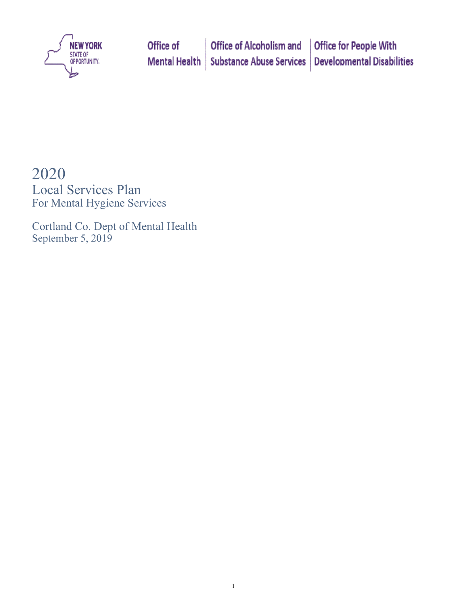

# 2020

Local Services Plan For Mental Hygiene Services

Cortland Co. Dept of Mental Health September 5, 2019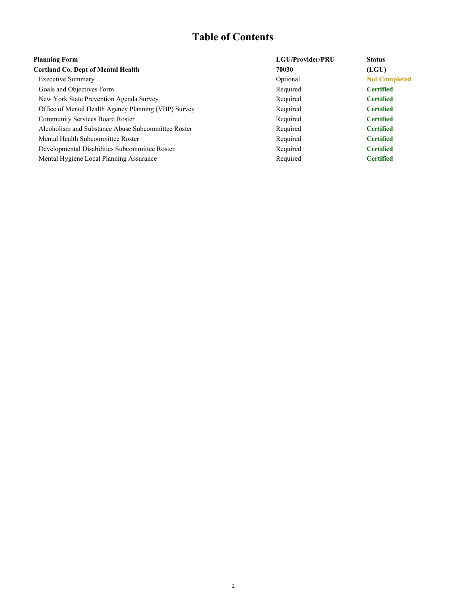# **Table of Contents**

| <b>Planning Form</b>                                 | LGU/Provider/PRU | <b>Status</b>        |
|------------------------------------------------------|------------------|----------------------|
| <b>Cortland Co. Dept of Mental Health</b>            | 70030            | (LGU)                |
| <b>Executive Summary</b>                             | Optional         | <b>Not Completed</b> |
| Goals and Objectives Form                            | Required         | <b>Certified</b>     |
| New York State Prevention Agenda Survey              | Required         | <b>Certified</b>     |
| Office of Mental Health Agency Planning (VBP) Survey | Required         | <b>Certified</b>     |
| <b>Community Services Board Roster</b>               | Required         | <b>Certified</b>     |
| Alcoholism and Substance Abuse Subcommittee Roster   | Required         | <b>Certified</b>     |
| Mental Health Subcommittee Roster                    | Required         | <b>Certified</b>     |
| Developmental Disabilities Subcommittee Roster       | Required         | <b>Certified</b>     |
| Mental Hygiene Local Planning Assurance              | Required         | <b>Certified</b>     |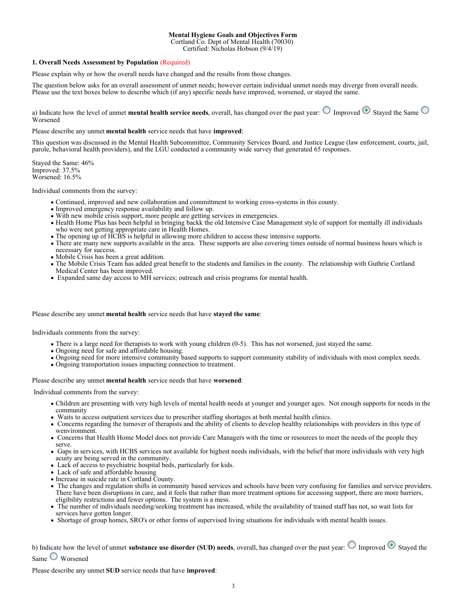### **Mental Hygiene Goals and Objectives Form**

Cortland Co. Dept of Mental Health (70030)

Certified: Nicholas Hobson (9/4/19)

### **1. Overall Needs Assessment by Population** (Required)

Please explain why or how the overall needs have changed and the results from those changes.

The question below asks for an overall assessment of unmet needs; however certain individual unmet needs may diverge from overall needs. Please use the text boxes below to describe which (if any) specific needs have improved, worsened, or stayed the same.

a) Indicate how the level of unmet **mental health service needs**, overall, has changed over the past year:  $\bigcirc$  Improved  $\bigcirc$  Staved the Same Worsened

### Please describe any unmet **mental health** service needs that have **improved**:

This question was discussed in the Mental Health Subcommittee, Community Services Board, and Justice League (law enforcement, courts, jail, parole, behavioral health providers), and the LGU conducted a community wide survey that generated 65 responses.

Stayed the Same: 46% Improved: 37.5% Worsened: 16.5%

Individual comments from the survey:

- Continued, improved and new collaboration and committment to working cross-systems in this county.
- Improved emergency response availability and follow up.
- With new mobile crisis support, more people are getting services in emergencies.
- Health Home Plus has been helpful in bringing backk the old Intensive Case Management style of support for mentally ill individuals who were not getting appropriate care in Health Homes.
- The opening up of HCBS is helpful in allowing more children to access these intensive supports.
- There are many new supports available in the area. These supports are also covering times outside of normal business hours which is necessary for success.
- Mobile Crisis has been a great addition.
- The Mobile Crisis Team has added great benefit to the students and families in the county. The relationship with Guthrie Cortland Medical Center has been improved.
- Expanded same day access to MH services; outreach and crisis programs for mental health.

### Please describe any unmet **mental health** service needs that have **stayed the same**:

Individuals comments from the survey:

- There is a large need for therapists to work with young children (0-5). This has not worsened, just stayed the same.
- Ongoing need for safe and affordable housing.
- Ongoing need for more intensive community based supports to support community stability of individuals with most complex needs.
- Ongoing transportation issues impacting connection to treatment.

Please describe any unmet **mental health** service needs that have **worsened**:

Individual comments from the survey:

- Children are presenting with very high levels of mental health needs at younger and younger ages. Not enough supports for needs in the community
- Waits to access outpatient services due to prescriber staffing shortages at both mental health clinics.
- Concerns regarding the turnover of therapists and the ability of clients to develop healthy relationships with providers in this type of wenvironment.
- Concerns that Health Home Model does not provide Care Managers with the time or resources to meet the needs of the people they serve.
- Gaps in services, with HCBS services not available for highest needs individuals, with the belief that more individuals with very high acuity are being served in the community.
- Lack of access to psychiatric hospital beds, particularly for kids.
- Lack of safe and affordable housing
- Increase in suicide rate in Cortland County.
- The changes and regulation shifts in community based services and schools have been very confusing for families and service providers. There have been disruptions in care, and it feels that rather than more treatment options for accessing support, there are more barriers, eligibility restrictions and fewer options. The system is a mess.
- The number of individuals needing/seeking treatment has increased, while the availability of trained staff has not, so wait lists for services have gotten longer.
- Shortage of group homes, SRO's or other forms of supervised living situations for individuals with mental health issues.

b) Indicate how the level of unmet **substance use disorder (SUD) needs**, overall, has changed over the past year:  $\bigcirc$  Improved  $\bigcirc$  Stayed the Same Worsened

Please describe any unmet **SUD** service needs that have **improved**: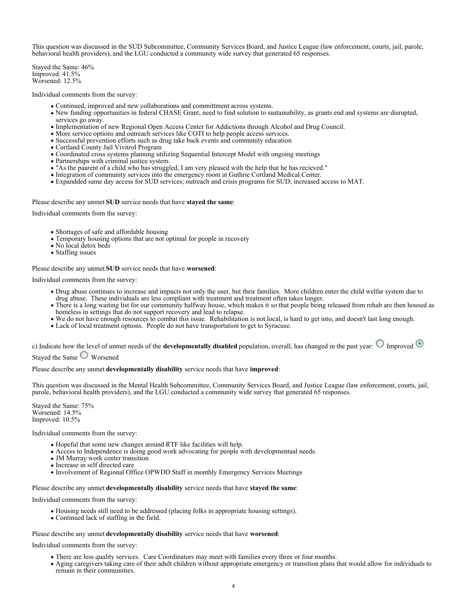This question was discussed in the SUD Subcommittee, Community Services Board, and Justice League (law enforcement, courts, jail, parole, behavioral health providers), and the LGU conducted a community wide survey that generated 65 responses.

Stayed the Same: 46% Improved: 41.5% Worsened: 12.5%

Individual comments from the survey:

- Continued, improved and new collaborations and committment across systems.
- New funding opportunities in federal CHASE Grant, need to find solution to sustainability, as grants end and systems are disrupted, services go away.
- Implementation of new Regional Open Access Center for Addictions through Alcohol and Drug Council.
- More service options and outreach services like COTI to help people access services.
- Successful prevention efforts such as drug take back events and community education
- Cortland County Jail Vivitrol Program
- Coordinated cross systems planning utilizing Sequential Intercept Model with ongoing meetings
- Partnerships with criminal justice system.
- "As the paarent of a child who has struggled, I am very pleased with the help that he has recieved."
- Integration of community services into the emergency room at Guthrie Cortland Medical Center.
- Expandded same day access for SUD services; outreach and crisis programs for SUD; increased access to MAT.

Please describe any unmet **SUD** service needs that have **stayed the same**:

Individual comments from the survey:

- Shortages of safe and affordable housing
- Temporary housing options that are not optimal for people in recovery
- No local detox beds
- Staffing issues

Please describe any unmet **SUD** service needs that have **worsened**:

Individual comments from the survey:

- Drug abuse continues to increase and impacts not only the user, but their families. More children enter the child welfar system due to drug abuse. These individuals are less compliant with treatment and treatment often takes longer.
- There is a long waiting list for our community halfway house, which makes it so that people being released from rehab are then housed as homeless in settings that do not support recovery and lead to relapse.
- We do not have enough resources to combat this issue. Rehabilitation is not local, is hard to get into, and doesn't last long enough.
- Lack of local treatment options. People do not have transportation to get to Syracuse.

c) Indicate how the level of unmet needs of the **developmentally disabled** population, overall, has changed in the past year:  $\bigcirc$  Improved

Stayed the Same Worsened

Please describe any unmet **developmentally disability** service needs that have **improved**:

This question was discussed in the Mental Health Subcommittee, Community Services Board, and Justice League (law enforcement, courts, jail, parole, behavioral health providers), and the LGU conducted a community wide survey that generated 65 responses.

Stayed the Same: 75% Worsened: 14.5% Improved: 10.5%

Individual comments from the survey:

- Hopeful that some new changes around RTF like facilities will help.
- Access to Independence is doing good work advocating for people with developmentaal needs.
- JM Murray work center transition
- Increase in self directed care
- Involvement of Regional Office OPWDD Staff in monthly Emergency Services Meetings

Please describe any unmet **developmentally disability** service needs that have **stayed the same**:

Individual comments from the survey:

- Housing needs still need to be addressed (placing folks in appropriate housing settings).
- Continued lack of staffing in the field.

### Please describe any unmet **developmentally disability** service needs that have **worsened**:

Individual comments from the survey:

- There are less quality services. Care Coordinators may meet with families every three or four months.
- Aging caregivers taking care of their adult children without appropriate emergency or transition plans that would allow for individuals to remain in their communities.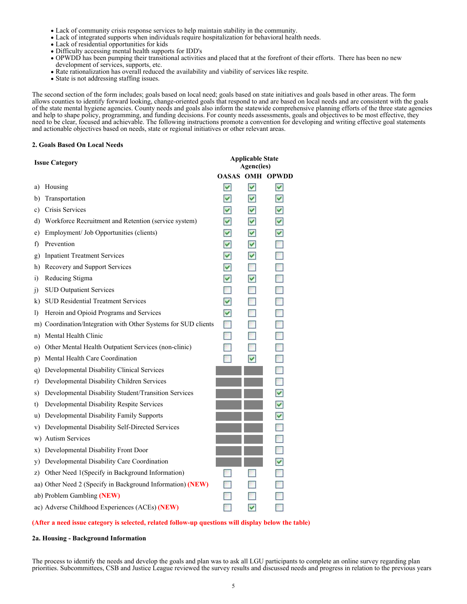- Lack of community crisis response services to help maintain stability in the community.
- Lack of integrated supports when individuals require hospitalization for behavioral health needs.
- Lack of residential opportunities for kids
- Difficulty accessing mental health supports for IDD's
- OPWDD has been pumping their transitional activities and placed that at the forefront of their efforts. There has been no new development of services, supports, etc.
- Rate rationalization has overall reduced the availability and viability of services like respite.
- State is not addressing staffing issues.

The second section of the form includes; goals based on local need; goals based on state initiatives and goals based in other areas. The form allows counties to identify forward looking, change-oriented goals that respond to and are based on local needs and are consistent with the goals of the state mental hygiene agencies. County needs and goals also inform the statewide comprehensive planning efforts of the three state agencies and help to shape policy, programming, and funding decisions. For county needs assessments, goals and objectives to be most effective, they need to be clear, focused and achievable. The following instructions promote a convention for developing and writing effective goal statements and actionable objectives based on needs, state or regional initiatives or other relevant areas.

### **2. Goals Based On Local Needs**

| <b>Issue Category</b>                                             |                  | <b>Applicable State</b><br>Agenc(ies) |                          |
|-------------------------------------------------------------------|------------------|---------------------------------------|--------------------------|
|                                                                   | <b>OASAS OMH</b> |                                       | <b>OPWDD</b>             |
| Housing<br>a)                                                     | M                | $\overline{\mathbf{v}}$               | M                        |
| Transportation<br>b)                                              | ☑                | M                                     | M                        |
| Crisis Services<br>c)                                             | M                | M                                     | ⊻                        |
| Workforce Recruitment and Retention (service system)<br>d)        | ☑                | M                                     | ⊻                        |
| Employment/ Job Opportunities (clients)<br>e)                     | ☑                | ☑                                     | ⊻                        |
| Prevention<br>f)                                                  | M                | M                                     |                          |
| <b>Inpatient Treatment Services</b><br>g)                         | ☑                | M                                     |                          |
| Recovery and Support Services<br>h)                               | M                |                                       |                          |
| Reducing Stigma<br>$\rm i)$                                       | ☑                | M                                     | $\overline{\phantom{a}}$ |
| <b>SUD Outpatient Services</b><br>J)                              |                  |                                       |                          |
| <b>SUD Residential Treatment Services</b><br>k)                   | ☑                |                                       |                          |
| Heroin and Opioid Programs and Services<br>$\bf{D}$               | ☑                |                                       |                          |
| m) Coordination/Integration with Other Systems for SUD clients    |                  |                                       |                          |
| Mental Health Clinic<br>n)                                        |                  |                                       | P.                       |
| Other Mental Health Outpatient Services (non-clinic)<br>$\circ$ ) |                  |                                       |                          |
| Mental Health Care Coordination<br>p)                             |                  | M                                     |                          |
| Developmental Disability Clinical Services<br>q)                  |                  |                                       | R                        |
| Developmental Disability Children Services<br>r)                  |                  |                                       |                          |
| Developmental Disability Student/Transition Services<br>s)        |                  |                                       | ⊻                        |
| Developmental Disability Respite Services<br>t)                   |                  |                                       | ⊻                        |
| Developmental Disability Family Supports<br>u)                    |                  |                                       | ⊻                        |
| Developmental Disability Self-Directed Services<br>V)             |                  |                                       | P.                       |
| <b>Autism Services</b><br>W)                                      |                  |                                       |                          |
| Developmental Disability Front Door<br>X)                         |                  |                                       |                          |
| Developmental Disability Care Coordination<br>y)                  |                  |                                       | ⊻                        |
| Other Need 1(Specify in Background Information)<br>Z)             |                  |                                       |                          |
| aa) Other Need 2 (Specify in Background Information) (NEW)        |                  |                                       |                          |
| ab) Problem Gambling (NEW)                                        |                  |                                       |                          |
| ac) Adverse Childhood Experiences (ACEs) (NEW)                    |                  | v                                     |                          |

### **(After a need issue category is selected, related follow-up questions will display below the table)**

### **2a. Housing - Background Information**

The process to identify the needs and develop the goals and plan was to ask all LGU participants to complete an online survey regarding plan priorities. Subcommittees, CSB and Justice League reviewed the survey results and discussed needs and progress in relation to the previous years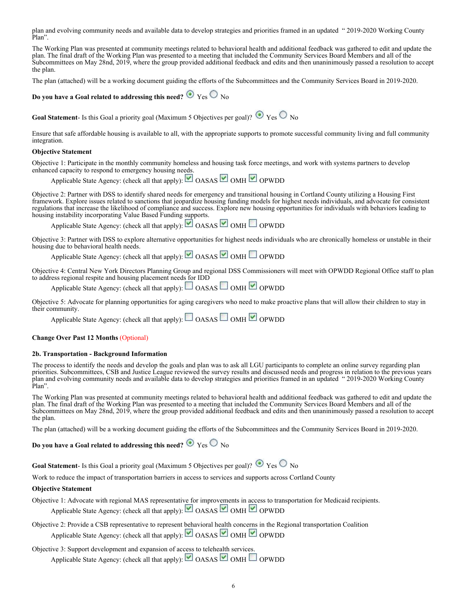plan and evolving community needs and available data to develop strategies and priorities framed in an updated " 2019-2020 Working County Plan".

The Working Plan was presented at community meetings related to behavioral health and additional feedback was gathered to edit and update the plan. The final draft of the Working Plan was presented to a meeting that included the Community Services Board Members and all of the Subcommittees on May 28nd, 2019, where the group provided additional feedback and edits and then unaninimously passed a resolution to accept the plan.

The plan (attached) will be a working document guiding the efforts of the Subcommittees and the Community Services Board in 2019-2020.

**Do you have a Goal related to addressing this need?**  $\bullet$  Yes  $\circ$  No

**Goal Statement**- Is this Goal a priority goal (Maximum 5 Objectives per goal)?  $\bullet$  Yes  $\circ$  No

Ensure that safe affordable housing is available to all, with the appropriate supports to promote successful community living and full community integration.

#### **Objective Statement**

Objective 1: Participate in the monthly community homeless and housing task force meetings, and work with systems partners to develop enhanced capacity to respond to emergency housing needs.

Applicable State Agency: (check all that apply): OASAS OMH OPWDD

Objective 2: Partner with DSS to identify shared needs for emergency and transitional housing in Cortland County utilizing a Housing First framework. Explore issues related to sanctions that jeopardize housing funding models for highest needs individuals, and advocate for consistent regulations that increase the likelihood of compliance and success. Explore new housing opportunities for individuals with behaviors leading to housing instability incorporating Value Based Funding supports.

Applicable State Agency: (check all that apply): OASAS OMH OPWDD

Objective 3: Partner with DSS to explore alternative opportunities for highest needs individuals who are chronically homeless or unstable in their housing due to behavioral health needs.

Applicable State Agency: (check all that apply): OASAS OMH OPWDD

Objective 4: Central New York Directors Planning Group and regional DSS Commissioners will meet with OPWDD Regional Office staff to plan to address regional respite and housing placement needs for IDD

Applicable State Agency: (check all that apply): OASAS OMH OPWDD

Objective 5: Advocate for planning opportunities for aging caregivers who need to make proactive plans that will allow their children to stay in their community.

Applicable State Agency: (check all that apply): OASAS OMH OPWDD

### **Change Over Past 12 Months** (Optional)

#### **2b. Transportation - Background Information**

The process to identify the needs and develop the goals and plan was to ask all LGU participants to complete an online survey regarding plan priorities. Subcommittees, CSB and Justice League reviewed the survey results and discussed needs and progress in relation to the previous years plan and evolving community needs and available data to develop strategies and priorities framed in an updated " 2019-2020 Working County Plan".

The Working Plan was presented at community meetings related to behavioral health and additional feedback was gathered to edit and update the plan. The final draft of the Working Plan was presented to a meeting that included the Community Services Board Members and all of the Subcommittees on May 28nd, 2019, where the group provided additional feedback and edits and then unaninimously passed a resolution to accept the plan.

The plan (attached) will be a working document guiding the efforts of the Subcommittees and the Community Services Board in 2019-2020.

### **Do you have a Goal related to addressing this need?**  $\bullet$  Yes  $\circ$  No

**Goal Statement**- Is this Goal a priority goal (Maximum 5 Objectives per goal)?  $\bullet$  Yes  $\circ$  No

Work to reduce the impact of transportation barriers in access to services and supports across Cortland County

### **Objective Statement**

Objective 1: Advocate with regional MAS representative for improvements in access to transportation for Medicaid recipients. Applicable State Agency: (check all that apply): OASAS OMH OPWDD

Objective 2: Provide a CSB representative to represent behavioral health concerns in the Regional transportation Coalition Applicable State Agency: (check all that apply):  $\Box$  OASAS  $\Box$  OMH  $\Box$  OPWDD

### Objective 3: Support development and expansion of access to telehealth services.

Applicable State Agency: (check all that apply):  $\Box$  OASAS  $\Box$  OMH  $\Box$  OPWDD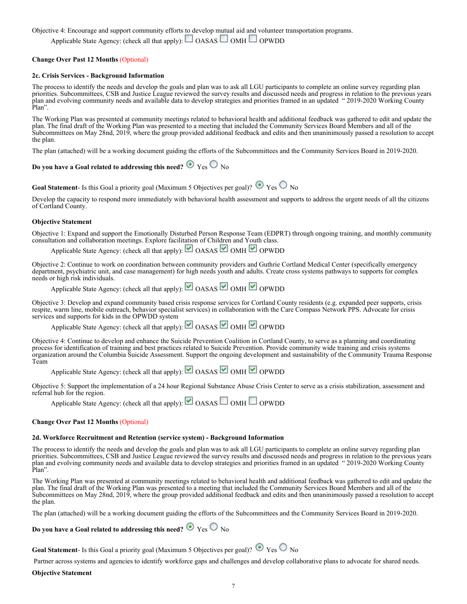Objective 4: Encourage and support community efforts to develop mutual aid and volunteer transportation programs.

Applicable State Agency: (check all that apply):  $\Box$  OASAS  $\Box$  OMH  $\Box$  OPWDD

### **Change Over Past 12 Months** (Optional)

### **2c. Crisis Services - Background Information**

The process to identify the needs and develop the goals and plan was to ask all LGU participants to complete an online survey regarding plan priorities. Subcommittees, CSB and Justice League reviewed the survey results and discussed needs and progress in relation to the previous years plan and evolving community needs and available data to develop strategies and priorities framed in an updated " 2019-2020 Working County Plan".

The Working Plan was presented at community meetings related to behavioral health and additional feedback was gathered to edit and update the plan. The final draft of the Working Plan was presented to a meeting that included the Community Services Board Members and all of the Subcommittees on May 28nd, 2019, where the group provided additional feedback and edits and then unaninimously passed a resolution to accept the plan.

The plan (attached) will be a working document guiding the efforts of the Subcommittees and the Community Services Board in 2019-2020.

### **Do you have a Goal related to addressing this need?**  $\bullet$  Yes  $\circ$  No

**Goal Statement**- Is this Goal a priority goal (Maximum 5 Objectives per goal)?  $\bullet$  Yes  $\circ$  No

Develop the capacity to respond more immediately with behavioral health assessment and supports to address the urgent needs of all the citizens of Cortland County.

### **Objective Statement**

Objective 1: Expand and support the Emotionally Disturbed Person Response Team (EDPRT) through ongoing training, and monthly community consultation and collaboration meetings. Explore facilitation of Children and Youth class.

Applicable State Agency: (check all that apply):  $\Box$  OASAS  $\Box$  OMH  $\Box$  OPWDD

Objective 2: Continue to work on coordination between community providers and Guthrie Cortland Medical Center (specifically emergency department, psychiatric unit, and case management) for high needs youth and adults. Create cross systems pathways to supports for complex needs or high risk individuals.

Applicable State Agency: (check all that apply):  $\Box$  OASAS  $\Box$  OMH  $\Box$  OPWDD

Objective 3: Develop and expand community based crisis response services for Cortland County residents (e.g. expanded peer supports, crisis respite, warm line, mobile outreach, behavior specialist services) in collaboration with the Care Compass Network PPS. Advocate for crisis services and supports for kids in the OPWDD system

Applicable State Agency: (check all that apply): OASAS OMH OPWDD

Objective 4: Continue to develop and enhance the Suicide Prevention Coalition in Cortland County, to serve as a planning and coordinating process for identification of training and best practices related to Suicide Prevention. Provide community wide training and crisis systems organization around the Columbia Suicide Assessment. Support the ongoing development and sustainability of the Community Trauma Response Team

Applicable State Agency: (check all that apply): OASAS OMH OPWDD

Objective 5: Support the implementation of a 24 hour Regional Substance Abuse Crisis Center to serve as a crisis stabilization, assessment and referral hub for the region.

Applicable State Agency: (check all that apply):  $\Box$  OASAS  $\Box$  OMH  $\Box$  OPWDD

#### **Change Over Past 12 Months** (Optional)

### **2d. Workforce Recruitment and Retention (service system) - Background Information**

The process to identify the needs and develop the goals and plan was to ask all LGU participants to complete an online survey regarding plan priorities. Subcommittees, CSB and Justice League reviewed the survey results and discussed needs and progress in relation to the previous years plan and evolving community needs and available data to develop strategies and priorities framed in an updated " 2019-2020 Working County Plan".

The Working Plan was presented at community meetings related to behavioral health and additional feedback was gathered to edit and update the plan. The final draft of the Working Plan was presented to a meeting that included the Community Services Board Members and all of the Subcommittees on May 28nd, 2019, where the group provided additional feedback and edits and then unaninimously passed a resolution to accept the plan.

The plan (attached) will be a working document guiding the efforts of the Subcommittees and the Community Services Board in 2019-2020.

### **Do you have a Goal related to addressing this need?**  $\bullet$  Yes  $\circ$  No

**Goal Statement-** Is this Goal a priority goal (Maximum 5 Objectives per goal)?  $\bullet$  Yes  $\circ$  No

Partner across systems and agencies to identify workforce gaps and challenges and develop collaborative plans to advocate for shared needs.

#### **Objective Statement**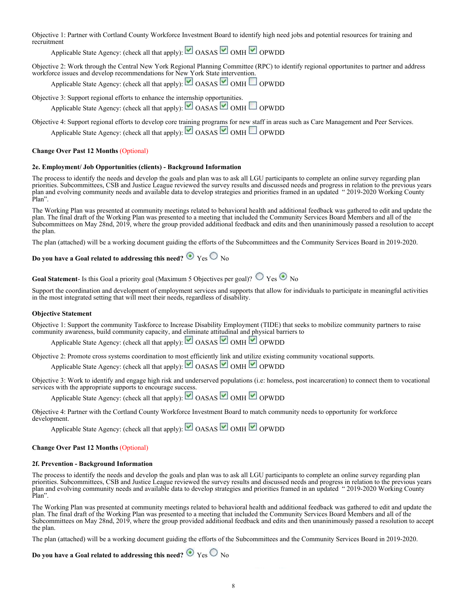Objective 1: Partner with Cortland County Workforce Investment Board to identify high need jobs and potential resources for training and recruitment

Applicable State Agency: (check all that apply): OASAS OMH OPWDD

Objective 2: Work through the Central New York Regional Planning Committee (RPC) to identify regional opportunites to partner and address workforce issues and develop recommendations for New York State intervention.

Applicable State Agency: (check all that apply): OASAS OMH OPWDD

Objective 3: Support regional efforts to enhance the internship opportunities.

Applicable State Agency: (check all that apply):  $\Box$  OASAS  $\Box$  OMH  $\Box$  OPWDD

Objective 4: Support regional efforts to develop core training programs for new staff in areas such as Care Management and Peer Services. Applicable State Agency: (check all that apply):  $\Box$  OASAS  $\Box$  OMH  $\Box$  OPWDD

### **Change Over Past 12 Months** (Optional)

### **2e. Employment/ Job Opportunities (clients) - Background Information**

The process to identify the needs and develop the goals and plan was to ask all LGU participants to complete an online survey regarding plan priorities. Subcommittees, CSB and Justice League reviewed the survey results and discussed needs and progress in relation to the previous years plan and evolving community needs and available data to develop strategies and priorities framed in an updated " 2019-2020 Working County Plan".

The Working Plan was presented at community meetings related to behavioral health and additional feedback was gathered to edit and update the plan. The final draft of the Working Plan was presented to a meeting that included the Community Services Board Members and all of the Subcommittees on May 28nd, 2019, where the group provided additional feedback and edits and then unaninimously passed a resolution to accept the plan.

The plan (attached) will be a working document guiding the efforts of the Subcommittees and the Community Services Board in 2019-2020.

# Do you have a Goal related to addressing this need?  $\odot$  Yes  $\odot$  No

**Goal Statement**- Is this Goal a priority goal (Maximum 5 Objectives per goal)?  $\bigcirc$   $\gamma$ es  $\bigcirc$  No

Support the coordination and development of employment services and supports that allow for individuals to participate in meaningful activities in the most integrated setting that will meet their needs, regardless of disability.

### **Objective Statement**

Objective 1: Support the community Taskforce to Increase Disability Employment (TIDE) that seeks to mobilize community partners to raise community awareness, build community capacity, and eliminate attitudinal and physical barriers to

Applicable State Agency: (check all that apply): OASAS OMH OPWDD

Objective 2: Promote cross systems coordination to most efficiently link and utilize existing community vocational supports.

Applicable State Agency: (check all that apply):  $\Box$  OASAS  $\Box$  OMH  $\Box$  OPWDD

Objective 3: Work to identify and engage high risk and underserved populations (i.e: homeless, post incarceration) to connect them to vocational services with the appropriate supports to encourage success.

Applicable State Agency: (check all that apply): OASAS OMH OPWDD

Objective 4: Partner with the Cortland County Workforce Investment Board to match community needs to opportunity for workforce development.

Applicable State Agency: (check all that apply): OASAS OMH OPWDD

### **Change Over Past 12 Months** (Optional)

### **2f. Prevention - Background Information**

The process to identify the needs and develop the goals and plan was to ask all LGU participants to complete an online survey regarding plan priorities. Subcommittees, CSB and Justice League reviewed the survey results and discussed needs and progress in relation to the previous years plan and evolving community needs and available data to develop strategies and priorities framed in an updated " 2019-2020 Working County Plan".

The Working Plan was presented at community meetings related to behavioral health and additional feedback was gathered to edit and update the plan. The final draft of the Working Plan was presented to a meeting that included the Community Services Board Members and all of the Subcommittees on May 28nd, 2019, where the group provided additional feedback and edits and then unaninimously passed a resolution to accept the plan.

The plan (attached) will be a working document guiding the efforts of the Subcommittees and the Community Services Board in 2019-2020.

### **Do you have a Goal related to addressing this need?**  $\bullet$  Yes  $\circ$  No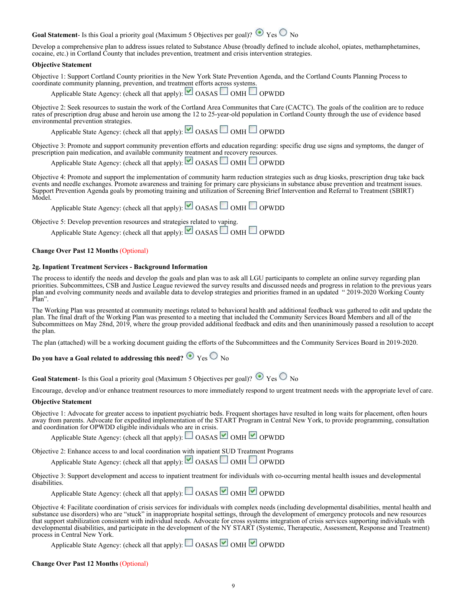### **Goal Statement**- Is this Goal a priority goal (Maximum 5 Objectives per goal)?  $\bullet$  Yes  $\circ$  No

Develop a comprehensive plan to address issues related to Substance Abuse (broadly defined to include alcohol, opiates, methamphetamines, cocaine, etc.) in Cortland County that includes prevention, treatment and crisis intervention strategies.

### **Objective Statement**

Objective 1: Support Cortland County priorities in the New York State Prevention Agenda, and the Cortland Counts Planning Process to coordinate community planning, prevention, and treatment efforts across systems.

Applicable State Agency: (check all that apply):  $\Box$  OASAS  $\Box$  OMH  $\Box$  OPWDD

Objective 2: Seek resources to sustain the work of the Cortland Area Communites that Care (CACTC). The goals of the coalition are to reduce rates of prescription drug abuse and heroin use among the 12 to 25-year-old population in Cortland County through the use of evidence based environmental prevention strategies.

| Applicable State Agency: (check all that apply):<br>OASAS OMH OPWDD |  |  |  |
|---------------------------------------------------------------------|--|--|--|
|                                                                     |  |  |  |

Objective 3: Promote and support community prevention efforts and education regarding: specific drug use signs and symptoms, the danger of prescription pain medication, and available community treatment and recovery resources.

Applicable State Agency: (check all that apply): OASAS OMH OPWDD

Objective 4: Promote and support the implementation of community harm reduction strategies such as drug kiosks, prescription drug take back events and needle exchanges. Promote awareness and training for primary care physicians in substance abuse prevention and treatment issues. Support Prevention Agenda goals by promoting training and utilization of Screening Brief Intervention and Referral to Treatment (SBIRT) Model.

Applicable State Agency: (check all that apply): OASAS OMH OPWDD

Objective 5: Develop prevention resources and strategies related to vaping.

Applicable State Agency: (check all that apply):  $\Box$  OASAS  $\Box$  OMH  $\Box$  OPWDD

### **Change Over Past 12 Months** (Optional)

### **2g. Inpatient Treatment Services - Background Information**

The process to identify the needs and develop the goals and plan was to ask all LGU participants to complete an online survey regarding plan priorities. Subcommittees, CSB and Justice League reviewed the survey results and discussed needs and progress in relation to the previous years plan and evolving community needs and available data to develop strategies and priorities framed in an updated " 2019-2020 Working County Plan".

The Working Plan was presented at community meetings related to behavioral health and additional feedback was gathered to edit and update the plan. The final draft of the Working Plan was presented to a meeting that included the Community Services Board Members and all of the Subcommittees on May 28nd, 2019, where the group provided additional feedback and edits and then unaninimously passed a resolution to accept the plan.

The plan (attached) will be a working document guiding the efforts of the Subcommittees and the Community Services Board in 2019-2020.

### **Do you have a Goal related to addressing this need?**  $\bullet$  Yes  $\circ$  No

**Goal Statement**- Is this Goal a priority goal (Maximum 5 Objectives per goal)?  $\bullet$  Yes  $\circ$  No

Encourage, develop and/or enhance treatment resources to more immediately respond to urgent treatment needs with the appropriate level of care.

### **Objective Statement**

Objective 1: Advocate for greater access to inpatient psychiatric beds. Frequent shortages have resulted in long waits for placement, often hours away from parents. Advocate for expedited implementation of the START Program in Central New York, to provide programming, consultation and coordination for OPWDD eligible individuals who are in crisis.

Applicable State Agency: (check all that apply):  $\Box$  OASAS  $\Box$  OMH  $\Box$  OPWDD

Objective 2: Enhance access to and local coordination with inpatient SUD Treatment Programs

Applicable State Agency: (check all that apply): OASAS OMH OPWDD

Objective 3: Support development and access to inpatient treatment for individuals with co-occurring mental health issues and developmental disabilities.

Applicable State Agency: (check all that apply):  $\Box$  OASAS OMH OPWDD

Objective 4: Facilitate coordination of crisis services for individuals with complex needs (including developmental disabilities, mental health and substance use disorders) who are "stuck" in inappropriate hospital settings, through the development of emergency protocols and new resources that support stabilization consistent with individual needs. Advocate for cross systems integration of crisis services supporting individuals with developmental disabilities, and participate in the development of the NY START (Systemic, Therapeutic, Assessment, Response and Treatment) process in Central New York.

Applicable State Agency: (check all that apply):  $\Box$  OASAS  $\Box$  OMH  $\Box$  OPWDD

### **Change Over Past 12 Months** (Optional)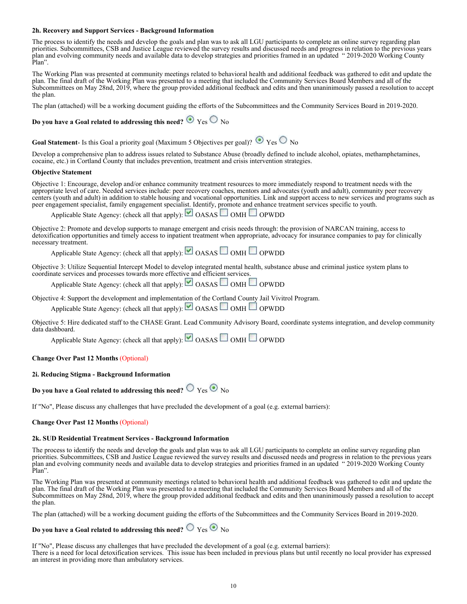### **2h. Recovery and Support Services - Background Information**

The process to identify the needs and develop the goals and plan was to ask all LGU participants to complete an online survey regarding plan priorities. Subcommittees, CSB and Justice League reviewed the survey results and discussed needs and progress in relation to the previous years plan and evolving community needs and available data to develop strategies and priorities framed in an updated "2019-2020 Working County" Plan".

The Working Plan was presented at community meetings related to behavioral health and additional feedback was gathered to edit and update the plan. The final draft of the Working Plan was presented to a meeting that included the Community Services Board Members and all of the Subcommittees on May 28nd, 2019, where the group provided additional feedback and edits and then unaninimously passed a resolution to accept the plan.

The plan (attached) will be a working document guiding the efforts of the Subcommittees and the Community Services Board in 2019-2020.

### **Do you have a Goal related to addressing this need?**  $\bullet$  Yes  $\circ$  No

# **Goal Statement**- Is this Goal a priority goal (Maximum 5 Objectives per goal)?  $\bullet$  Yes  $\circ$  No

Develop a comprehensive plan to address issues related to Substance Abuse (broadly defined to include alcohol, opiates, methamphetamines, cocaine, etc.) in Cortland County that includes prevention, treatment and crisis intervention strategies.

#### **Objective Statement**

Objective 1: Encourage, develop and/or enhance community treatment resources to more immediately respond to treatment needs with the appropriate level of care. Needed services include: peer recovery coaches, mentors and advocates (youth and adult), community peer recovery centers (youth and adult) in addition to stable housing and vocational opportunities. Link and support access to new services and programs such as peer engagement specialist, family engagement specialist. Identify, promote and enhance treatment services specific to youth.

Applicable State Agency: (check all that apply):  $\Box$  OASAS  $\Box$  OMH  $\Box$  OPWDD

Objective 2: Promote and develop supports to manage emergent and crisis needs through: the provision of NARCAN training, access to detoxification opportunities and timely access to inpatient treatment when appropriate, advocacy for insurance companies to pay for clinically necessary treatment.

Applicable State Agency: (check all that apply): OASAS OMH OPWDD

Objective 3: Utilize Sequential Intercept Model to develop integrated mental health, substance abuse and criminal justice system plans to coordinate services and processes towards more effective and efficient services.

Applicable State Agency: (check all that apply): OASAS OMH OPWDD

Objective 4: Support the development and implementation of the Cortland County Jail Vivitrol Program.

Applicable State Agency: (check all that apply):  $\Box$  OASAS  $\Box$  OMH  $\Box$  OPWDD

Objective 5: Hire dedicated staff to the CHASE Grant. Lead Community Advisory Board, coordinate systems integration, and develop community data dashboard.

Applicable State Agency: (check all that apply): OASAS OMH OPWDD

### **Change Over Past 12 Months** (Optional)

### **2i. Reducing Stigma - Background Information**

# Do you have a Goal related to addressing this need?  $\overline{\mathcal{O}}$   $_{\text{Yes}}$   $\overline{\mathcal{O}}$   $_{\text{No}}$

If "No", Please discuss any challenges that have precluded the development of a goal (e.g. external barriers):

### **Change Over Past 12 Months** (Optional)

#### **2k. SUD Residential Treatment Services - Background Information**

The process to identify the needs and develop the goals and plan was to ask all LGU participants to complete an online survey regarding plan priorities. Subcommittees, CSB and Justice League reviewed the survey results and discussed needs and progress in relation to the previous years plan and evolving community needs and available data to develop strategies and priorities framed in an updated " 2019-2020 Working County Plan".

The Working Plan was presented at community meetings related to behavioral health and additional feedback was gathered to edit and update the plan. The final draft of the Working Plan was presented to a meeting that included the Community Services Board Members and all of the Subcommittees on May 28nd, 2019, where the group provided additional feedback and edits and then unaninimously passed a resolution to accept the plan.

The plan (attached) will be a working document guiding the efforts of the Subcommittees and the Community Services Board in 2019-2020.

### **Do you have a Goal related to addressing this need?**  $\bigcirc$   $\bigcirc$   $\bigcirc$   $\bigcirc$   $\bigcirc$   $\bigcirc$

If "No", Please discuss any challenges that have precluded the development of a goal (e.g. external barriers): There is a need for local detoxification services. This issue has been included in previous plans but until recently no local provider has expressed an interest in providing more than ambulatory services.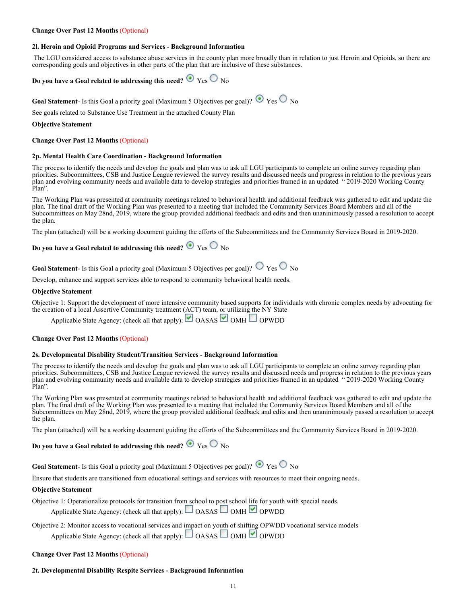### **Change Over Past 12 Months** (Optional)

### **2l. Heroin and Opioid Programs and Services - Background Information**

 The LGU considered access to substance abuse services in the county plan more broadly than in relation to just Heroin and Opioids, so there are corresponding goals and objectives in other parts of the plan that are inclusive of these substances.

### **Do you have a Goal related to addressing this need?**  $\bullet$  Yes  $\circ$  No

**Goal Statement**- Is this Goal a priority goal (Maximum 5 Objectives per goal)?  $\bullet$  Yes  $\circ$  No

See goals related to Substance Use Treatment in the attached County Plan

#### **Objective Statement**

**Change Over Past 12 Months** (Optional)

#### **2p. Mental Health Care Coordination - Background Information**

The process to identify the needs and develop the goals and plan was to ask all LGU participants to complete an online survey regarding plan priorities. Subcommittees, CSB and Justice League reviewed the survey results and discussed needs and progress in relation to the previous years plan and evolving community needs and available data to develop strategies and priorities framed in an updated " 2019-2020 Working County Plan".

The Working Plan was presented at community meetings related to behavioral health and additional feedback was gathered to edit and update the plan. The final draft of the Working Plan was presented to a meeting that included the Community Services Board Members and all of the Subcommittees on May 28nd, 2019, where the group provided additional feedback and edits and then unaninimously passed a resolution to accept the plan.

The plan (attached) will be a working document guiding the efforts of the Subcommittees and the Community Services Board in 2019-2020.

### **Do you have a Goal related to addressing this need?**  $\bullet$  Yes  $\circ$  No

**Goal Statement**- Is this Goal a priority goal (Maximum 5 Objectives per goal)?  $\circ$   $\circ$   $_{\text{Yes}}$   $\circ$   $\circ$   $_{\text{No}}$ 

Develop, enhance and support services able to respond to community behavioral health needs.

#### **Objective Statement**

Objective 1: Support the development of more intensive community based supports for individuals with chronic complex needs by advocating for the creation of a local Assertive Community treatment (ACT) team, or utilizing the NY State

Applicable State Agency: (check all that apply):  $\Box$  OASAS  $\Box$  OMH  $\Box$  OPWDD

### **Change Over Past 12 Months** (Optional)

#### **2s. Developmental Disability Student/Transition Services - Background Information**

The process to identify the needs and develop the goals and plan was to ask all LGU participants to complete an online survey regarding plan priorities. Subcommittees, CSB and Justice League reviewed the survey results and discussed needs and progress in relation to the previous years plan and evolving community needs and available data to develop strategies and priorities framed in an updated " 2019-2020 Working County Plan".

The Working Plan was presented at community meetings related to behavioral health and additional feedback was gathered to edit and update the plan. The final draft of the Working Plan was presented to a meeting that included the Community Services Board Members and all of the Subcommittees on May 28nd, 2019, where the group provided additional feedback and edits and then unaninimously passed a resolution to accept the plan.

The plan (attached) will be a working document guiding the efforts of the Subcommittees and the Community Services Board in 2019-2020.

# **Do you have a Goal related to addressing this need?**  $\bullet$  Yes  $\circ$  No

**Goal Statement**- Is this Goal a priority goal (Maximum 5 Objectives per goal)?  $\bullet$  Yes  $\circ$  No

Ensure that students are transitioned from educational settings and services with resources to meet their ongoing needs.

### **Objective Statement**

Objective 1: Operationalize protocols for transition from school to post school life for youth with special needs.

- Applicable State Agency: (check all that apply): OASAS OMH OPWDD
- Objective 2: Monitor access to vocational services and impact on youth of shifting OPWDD vocational service models Applicable State Agency: (check all that apply):  $\Box$  OASAS  $\Box$  OMH  $\Box$  OPWDD

### **Change Over Past 12 Months** (Optional)

### **2t. Developmental Disability Respite Services - Background Information**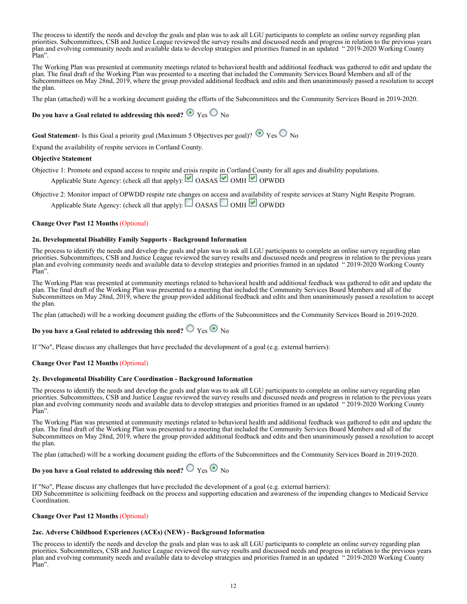The process to identify the needs and develop the goals and plan was to ask all LGU participants to complete an online survey regarding plan priorities. Subcommittees, CSB and Justice League reviewed the survey results and discussed needs and progress in relation to the previous years plan and evolving community needs and available data to develop strategies and priorities framed in an updated " 2019-2020 Working County Plan".

The Working Plan was presented at community meetings related to behavioral health and additional feedback was gathered to edit and update the plan. The final draft of the Working Plan was presented to a meeting that included the Community Services Board Members and all of the Subcommittees on May 28nd, 2019, where the group provided additional feedback and edits and then unaninimously passed a resolution to accept the plan.

The plan (attached) will be a working document guiding the efforts of the Subcommittees and the Community Services Board in 2019-2020.

### **Do you have a Goal related to addressing this need?**  $\bullet$  Yes  $\circ$  No

**Goal Statement**- Is this Goal a priority goal (Maximum 5 Objectives per goal)?  $\bullet$  Yes  $\circ$  No

Expand the availability of respite services in Cortland County.

### **Objective Statement**

Objective 1: Promote and expand access to respite and crisis respite in Cortland County for all ages and disability populations.

Applicable State Agency: (check all that apply):  $\Box$  OASAS  $\Box$  OMH  $\Box$  OPWDD

Objective 2: Monitor impact of OPWDD respite rate changes on access and availability of respite services at Starry Night Respite Program. Applicable State Agency: (check all that apply):  $\Box$  OASAS  $\Box$  OMH  $\Box$  OPWDD

### **Change Over Past 12 Months** (Optional)

### **2u. Developmental Disability Family Supports - Background Information**

The process to identify the needs and develop the goals and plan was to ask all LGU participants to complete an online survey regarding plan priorities. Subcommittees, CSB and Justice League reviewed the survey results and discussed needs and progress in relation to the previous years plan and evolving community needs and available data to develop strategies and priorities framed in an updated " 2019-2020 Working County Plan".

The Working Plan was presented at community meetings related to behavioral health and additional feedback was gathered to edit and update the plan. The final draft of the Working Plan was presented to a meeting that included the Community Services Board Members and all of the Subcommittees on May 28nd, 2019, where the group provided additional feedback and edits and then unaninimously passed a resolution to accept the plan.

The plan (attached) will be a working document guiding the efforts of the Subcommittees and the Community Services Board in 2019-2020.

### **Do you have a Goal related to addressing this need?**  $\bigcirc$  Yes  $\bigcirc$  No

If "No", Please discuss any challenges that have precluded the development of a goal (e.g. external barriers):

### **Change Over Past 12 Months** (Optional)

### **2y. Developmental Disability Care Coordination - Background Information**

The process to identify the needs and develop the goals and plan was to ask all LGU participants to complete an online survey regarding plan priorities. Subcommittees, CSB and Justice League reviewed the survey results and discussed needs and progress in relation to the previous years plan and evolving community needs and available data to develop strategies and priorities framed in an updated " 2019-2020 Working County Plan".

The Working Plan was presented at community meetings related to behavioral health and additional feedback was gathered to edit and update the plan. The final draft of the Working Plan was presented to a meeting that included the Community Services Board Members and all of the Subcommittees on May 28nd, 2019, where the group provided additional feedback and edits and then unaninimously passed a resolution to accept the plan.

The plan (attached) will be a working document guiding the efforts of the Subcommittees and the Community Services Board in 2019-2020.

### **Do you have a Goal related to addressing this need?**  $\bigcirc$  Yes  $\bigcirc$  No

If "No", Please discuss any challenges that have precluded the development of a goal (e.g. external barriers): DD Subcommittee is solicitiing feedback on the process and supporting education and awareness of the impending changes to Medicaid Service Coordination.

### **Change Over Past 12 Months** (Optional)

### **2ac. Adverse Childhood Experiences (ACEs) (NEW) - Background Information**

The process to identify the needs and develop the goals and plan was to ask all LGU participants to complete an online survey regarding plan priorities. Subcommittees, CSB and Justice League reviewed the survey results and discussed needs and progress in relation to the previous years plan and evolving community needs and available data to develop strategies and priorities framed in an updated " 2019-2020 Working County Plan".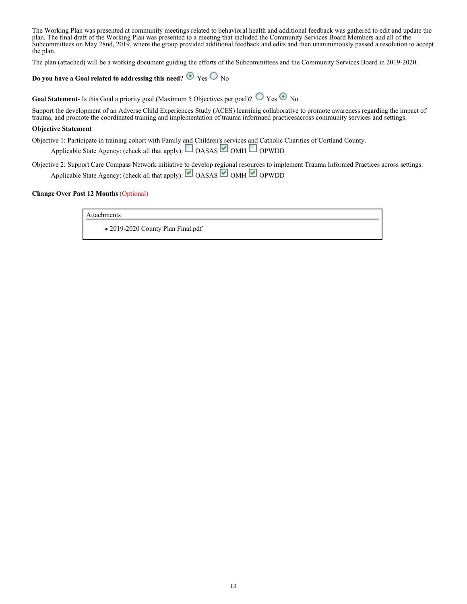The Working Plan was presented at community meetings related to behavioral health and additional feedback was gathered to edit and update the plan. The final draft of the Working Plan was presented to a meeting that included the Community Services Board Members and all of the Subcommittees on May 28nd, 2019, where the group provided additional feedback and edits and then unaninimously passed a resolution to accept the plan.

The plan (attached) will be a working document guiding the efforts of the Subcommittees and the Community Services Board in 2019-2020.

### **Do you have a Goal related to addressing this need?**  $\bullet$  Yes  $\circ$  No

**Goal Statement**- Is this Goal a priority goal (Maximum 5 Objectives per goal)?  $\bigcirc$  Yes  $\bigcirc$  No

Support the development of an Adverse Child Experiences Study (ACES) learninig collaborative to promote awareness regarding the impact of trauma, and promote the coordinated training and implementation of trauma informaed practicesacross community services and settings.

### **Objective Statement**

Objective 1: Participate in training cohort with Family and Children's services and Catholic Charities of Cortland County.

Applicable State Agency: (check all that apply):  $\Box$  OASAS  $\Box$  OMH  $\Box$  OPWDD

Objective 2: Support Care Compass Network initiative to develop regional resources to implement Trauma Informed Practices across settings. Applicable State Agency: (check all that apply): OASAS OMH OPWDD

### **Change Over Past 12 Months** (Optional)

Attachments

2019-2020 County Plan Final.pdf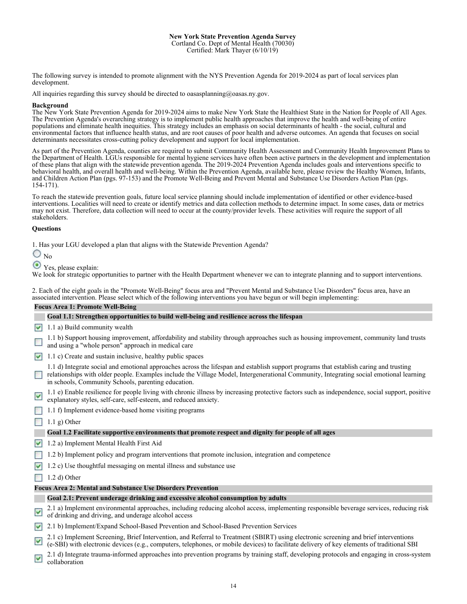#### **New York State Prevention Agenda Survey** Cortland Co. Dept of Mental Health (70030) Certified: Mark Thayer (6/10/19)

The following survey is intended to promote alignment with the NYS Prevention Agenda for 2019-2024 as part of local services plan development.

All inquiries regarding this survey should be directed to oasasplanning@oasas.ny.gov.

### **Background**

The New York State Prevention Agenda for 2019-2024 aims to make New York State the Healthiest State in the Nation for People of All Ages. The Prevention Agenda's overarching strategy is to implement public health approaches that improve the health and well-being of entire populations and eliminate health inequities. This strategy includes an emphasis on social determinants of health - the social, cultural and environmental factors that influence health status, and are root causes of poor health and adverse outcomes. An agenda that focuses on social determinants necessitates cross-cutting policy development and support for local implementation.

As part of the Prevention Agenda, counties are required to submit Community Health Assessment and Community Health Improvement Plans to the Department of Health. LGUs responsible for mental hygiene services have often been active partners in the development and implementation of these plans that align with the statewide prevention agenda. The 2019-2024 Prevention Agenda includes goals and interventions specific to behavioral health, and overall health and well-being. Within the Prevention Agenda, available here, please review the Healthy Women, Infants, and Children Action Plan (pgs. 97-153) and the Promote Well-Being and Prevent Mental and Substance Use Disorders Action Plan (pgs. 154-171).

To reach the statewide prevention goals, future local service planning should include implementation of identified or other evidence-based interventions. Localities will need to create or identify metrics and data collection methods to determine impact. In some cases, data or metrics may not exist. Therefore, data collection will need to occur at the county/provider levels. These activities will require the support of all stakeholders.

### **Questions**

1. Has your LGU developed a plan that aligns with the Statewide Prevention Agenda?

 $\bigcirc$ <sub>No</sub>

 $\odot$  Yes, please explain:

We look for strategic opportunities to partner with the Health Department whenever we can to integrate planning and to support interventions.

2. Each of the eight goals in the "Promote Well-Being" focus area and "Prevent Mental and Substance Use Disorders" focus area, have an associated intervention. Please select which of the following interventions you have begun or will begin implementing:

### **Focus Area 1: Promote Well-Being**

### **Goal 1.1: Strengthen opportunities to build well-being and resilience across the lifespan**

- $\sqrt{1.1}$  a) Build community wealth
- 1.1 b) Support housing improvement, affordability and stability through approaches such as housing improvement, community land trusts and using a "whole person" approach in medical care
- $1.1$  c) Create and sustain inclusive, healthy public spaces

1.1 d) Integrate social and emotional approaches across the lifespan and establish support programs that establish caring and trusting relationships with older people. Examples include the Village Model, Intergenerational Community, Integrating social emotional learning in schools, Community Schools, parenting education.

- 1.1 e) Enable resilience for people living with chronic illness by increasing protective factors such as independence, social support, positive M explanatory styles, self-care, self-esteem, and reduced anxiety.
- 1.1 f) Implement evidence-based home visiting programs

 $\Box$  1.1 g) Other

### **Goal 1.2 Facilitate supportive environments that promote respect and dignity for people of all ages**

- 1.2 a) Implement Mental Health First Aid
- 1.2 b) Implement policy and program interventions that promote inclusion, integration and competence
- $1.2$  c) Use thoughtful messaging on mental illness and substance use

 $\Box$  1.2 d) Other

### **Focus Area 2: Mental and Substance Use Disorders Prevention**

### **Goal 2.1: Prevent underage drinking and excessive alcohol consumption by adults**

2.1 a) Implement environmental approaches, including reducing alcohol access, implementing responsible beverage services, reducing risk  $\blacktriangledown$ of drinking and driving, and underage alcohol access

2.1 b) Implement/Expand School-Based Prevention and School-Based Prevention Services

2.1 c) Implement Screening, Brief Intervention, and Referral to Treatment (SBIRT) using electronic screening and brief interventions  $\blacktriangledown$ (e-SBI) with electronic devices (e.g., computers, telephones, or mobile devices) to facilitate delivery of key elements of traditional SBI

2.1 d) Integrate trauma-informed approaches into prevention programs by training staff, developing protocols and engaging in cross-system ☑ collaboration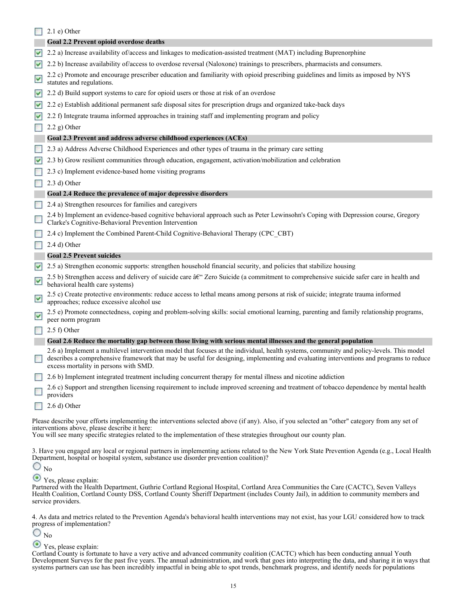|                       | $2.1$ e) Other                                                                                                                                                                                                                                                                                                              |
|-----------------------|-----------------------------------------------------------------------------------------------------------------------------------------------------------------------------------------------------------------------------------------------------------------------------------------------------------------------------|
|                       | Goal 2.2 Prevent opioid overdose deaths                                                                                                                                                                                                                                                                                     |
| $\blacktriangledown$  | 2.2 a) Increase availability of/access and linkages to medication-assisted treatment (MAT) including Buprenorphine                                                                                                                                                                                                          |
| $\blacktriangledown$  | 2.2 b) Increase availability of/access to overdose reversal (Naloxone) trainings to prescribers, pharmacists and consumers.                                                                                                                                                                                                 |
| $\blacktriangleright$ | 2.2 c) Promote and encourage prescriber education and familiarity with opioid prescribing guidelines and limits as imposed by NYS<br>statutes and regulations.                                                                                                                                                              |
| $\blacktriangledown$  | 2.2 d) Build support systems to care for opioid users or those at risk of an overdose                                                                                                                                                                                                                                       |
| M                     | 2.2 e) Establish additional permanent safe disposal sites for prescription drugs and organized take-back days                                                                                                                                                                                                               |
| M                     | 2.2 f) Integrate trauma informed approaches in training staff and implementing program and policy                                                                                                                                                                                                                           |
|                       | $2.2$ g) Other                                                                                                                                                                                                                                                                                                              |
|                       | Goal 2.3 Prevent and address adverse childhood experiences (ACEs)                                                                                                                                                                                                                                                           |
|                       | 2.3 a) Address Adverse Childhood Experiences and other types of trauma in the primary care setting                                                                                                                                                                                                                          |
| $\blacktriangledown$  | 2.3 b) Grow resilient communities through education, engagement, activation/mobilization and celebration                                                                                                                                                                                                                    |
|                       | 2.3 c) Implement evidence-based home visiting programs                                                                                                                                                                                                                                                                      |
|                       | $(2.3 d)$ Other                                                                                                                                                                                                                                                                                                             |
|                       | Goal 2.4 Reduce the prevalence of major depressive disorders                                                                                                                                                                                                                                                                |
|                       | 2.4 a) Strengthen resources for families and caregivers                                                                                                                                                                                                                                                                     |
|                       | 2.4 b) Implement an evidence-based cognitive behavioral approach such as Peter Lewinsohn's Coping with Depression course, Gregory<br>Clarke's Cognitive-Behavioral Prevention Intervention                                                                                                                                  |
|                       | 2.4 c) Implement the Combined Parent-Child Cognitive-Behavioral Therapy (CPC CBT)                                                                                                                                                                                                                                           |
|                       | 2.4 d) Other                                                                                                                                                                                                                                                                                                                |
|                       | <b>Goal 2.5 Prevent suicides</b>                                                                                                                                                                                                                                                                                            |
| $\blacktriangledown$  | 2.5 a) Strengthen economic supports: strengthen household financial security, and policies that stabilize housing                                                                                                                                                                                                           |
| $\blacktriangledown$  | 2.5 b) Strengthen access and delivery of suicide care â€" Zero Suicide (a commitment to comprehensive suicide safer care in health and<br>behavioral health care systems)                                                                                                                                                   |
| ⊻                     | 2.5 c) Create protective environments: reduce access to lethal means among persons at risk of suicide; integrate trauma informed<br>approaches; reduce excessive alcohol use                                                                                                                                                |
| ⊻                     | 2.5 e) Promote connectedness, coping and problem-solving skills: social emotional learning, parenting and family relationship programs,<br>peer norm program                                                                                                                                                                |
|                       | $2.5 f$ ) Other                                                                                                                                                                                                                                                                                                             |
|                       | Goal 2.6 Reduce the mortality gap between those living with serious mental illnesses and the general population                                                                                                                                                                                                             |
|                       | 2.6 a) Implement a multilevel intervention model that focuses at the individual, health systems, community and policy-levels. This model<br>describes a comprehensive framework that may be useful for designing, implementing and evaluating interventions and programs to reduce<br>excess mortality in persons with SMD. |
|                       | 2.6 b) Implement integrated treatment including concurrent therapy for mental illness and nicotine addiction                                                                                                                                                                                                                |
|                       | 2.6 c) Support and strengthen licensing requirement to include improved screening and treatment of tobacco dependence by mental health<br>providers                                                                                                                                                                         |
|                       | $2.6$ d) Other                                                                                                                                                                                                                                                                                                              |
|                       | Please describe your efforts implementing the interventions selected above (if any). Also, if you selected an "other" category from any set of<br>interventions above, please describe it here:<br>You will see many specific strategies related to the implementation of these strategies throughout our county plan.      |
|                       | 3. Have you engaged any local or regional partners in implementing actions related to the New York State Prevention Agenda (e.g., Local Health<br>Department, hospital or hospital system, substance use disorder prevention coalition)?                                                                                    |

 $\bigcirc$ <sub>No</sub>

Yes, please explain:

Partnered with the Health Department, Guthrie Cortland Regional Hospital, Cortland Area Communities the Care (CACTC), Seven Valleys Health Coalition, Cortland County DSS, Cortland County Sheriff Department (includes County Jail), in addition to community members and service providers.

4. As data and metrics related to the Prevention Agenda's behavioral health interventions may not exist, has your LGU considered how to track progress of implementation?

 $\bigcirc$ <sub>No</sub>

### Yes, please explain:

Cortland County is fortunate to have a very active and advanced community coalition (CACTC) which has been conducting annual Youth Development Surveys for the past five years. The annual administration, and work that goes into interpreting the data, and sharing it in ways that systems partners can use has been incredibly impactful in being able to spot trends, benchmark progress, and identify needs for populations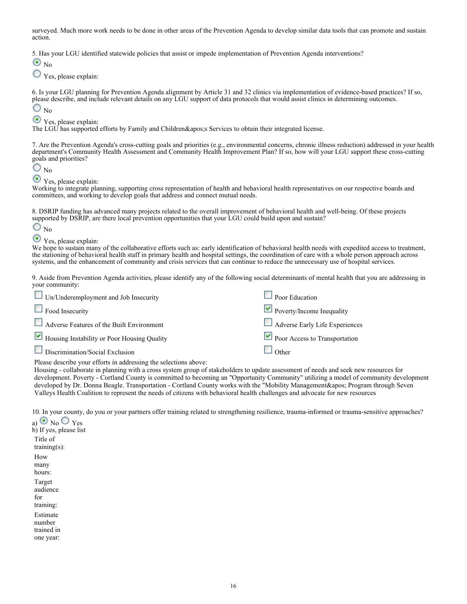surveyed. Much more work needs to be done in other areas of the Prevention Agenda to develop similar data tools that can promote and sustain action.

5. Has your LGU identified statewide policies that assist or impede implementation of Prevention Agenda interventions?

 $\odot_{\text{No}}$ 

Yes, please explain:

6. Is your LGU planning for Prevention Agenda alignment by Article 31 and 32 clinics via implementation of evidence-based practices? If so, please describe, and include relevant details on any LGU support of data protocols that would assist clinics in determining outcomes.  $\bigcirc$ <sub>No</sub>

Yes, please explain:

The LGU has supported efforts by Family and Children&apos: Services to obtain their integrated license.

7. Are the Prevention Agenda's cross-cutting goals and priorities (e.g., environmental concerns, chronic illness reduction) addressed in your health department's Community Health Assessment and Community Health Improvement Plan? If so, how will your LGU support these cross-cutting goals and priorities?

 $\bigcirc$ <sub>No</sub>

 $\odot$  Yes, please explain:

Working to integrate planning, supporting cross representation of health and behavioral health representatives on our respective boards and committees, and working to develop goals that address and connect mutual needs.

8. DSRIP funding has advanced many projects related to the overall improvement of behavioral health and well-being. Of these projects supported by DSRIP, are there local prevention opportunities that your LGU could build upon and sustain?

 $\bigcirc$ <sub>No</sub>

# Yes, please explain:

We hope to sustain many of the collaborative efforts such as: early identification of behavioral health needs with expedited access to treatment, the stationing of behavioral health staff in primary health and hospital settings, the coordination of care with a whole person approach across systems, and the enhancement of community and crisis services that can continue to reduce the unnecessary use of hospital services.

9. Aside from Prevention Agenda activities, please identify any of the following social determinants of mental health that you are addressing in your community:

| $\Box$ Un/Underemployment and Job Insecurity | $\Box$ Poor Education          |
|----------------------------------------------|--------------------------------|
| Food Insecurity                              | Poverty/Income Inequality      |
| Adverse Features of the Built Environment    | Adverse Early Life Experiences |
| Housing Instability or Poor Housing Quality  | Poor Access to Transportation  |
| Discrimination/Social Exclusion              | Other                          |

Please describe your efforts in addressing the selections above:

Housing - collaborate in planning with a cross system group of stakeholders to update assessment of needs and seek new resources for development. Poverty - Cortland County is committed to becoming an "Opportunity Community" utilizing a model of community development developed by Dr. Donna Beagle. Transportation - Cortland County works with the "Mobility Management&apos: Program through Seven Valleys Health Coalition to represent the needs of citizens with behavioral health challenges and advocate for new resources

10. In your county, do you or your partners offer training related to strengthening resilience, trauma-informed or trauma-sensitive approaches?

a)  $\odot$  No  $\odot$  Yes b) If yes, please list Title of training(s): How many hours: Target audience for training: Estimate number trained in one year: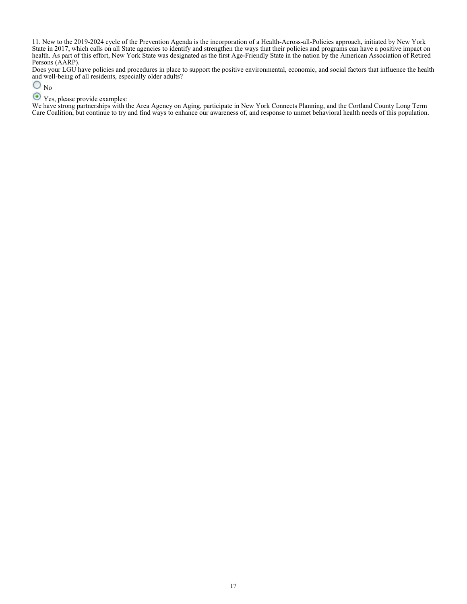11. New to the 2019-2024 cycle of the Prevention Agenda is the incorporation of a Health-Across-all-Policies approach, initiated by New York State in 2017, which calls on all State agencies to identify and strengthen the ways that their policies and programs can have a positive impact on health. As part of this effort, New York State was designated as the first Age-Friendly State in the nation by the American Association of Retired Persons (AARP).

Does your LGU have policies and procedures in place to support the positive environmental, economic, and social factors that influence the health and well-being of all residents, especially older adults?

 $\bigcirc$ <sub>No</sub>

### Yes, please provide examples:

We have strong partnerships with the Area Agency on Aging, participate in New York Connects Planning, and the Cortland County Long Term Care Coalition, but continue to try and find ways to enhance our awareness of, and response to unmet behavioral health needs of this population.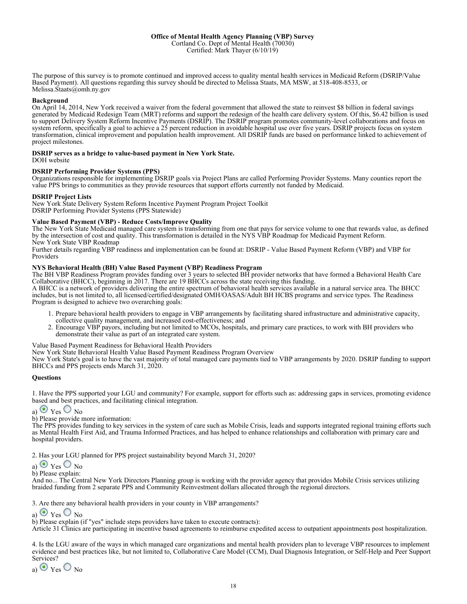The purpose of this survey is to promote continued and improved access to quality mental health services in Medicaid Reform (DSRIP/Value Based Payment). All questions regarding this survey should be directed to Melissa Staats, MA MSW, at 518-408-8533, or Melissa.Staats@omh.ny.gov

### **Background**

On April 14, 2014, New York received a waiver from the federal government that allowed the state to reinvest \$8 billion in federal savings generated by Medicaid Redesign Team (MRT) reforms and support the redesign of the health care delivery system. Of this, \$6.42 billion is used to support Delivery System Reform Incentive Payments (DSRIP). The DSRIP program promotes community-level collaborations and focus on system reform, specifically a goal to achieve a 25 percent reduction in avoidable hospital use over five years. DSRIP projects focus on system transformation, clinical improvement and population health improvement. All DSRIP funds are based on performance linked to achievement of project milestones.

#### **DSRIP serves as a bridge to value-based payment in New York State.**

DOH website

### **DSRIP Performing Provider Systems (PPS)**

Organizations responsible for implementing DSRIP goals via Project Plans are called Performing Provider Systems. Many counties report the value PPS brings to communities as they provide resources that support efforts currently not funded by Medicaid.

#### **DSRIP Project Lists**

New York State Delivery System Reform Incentive Payment Program Project Toolkit DSRIP Performing Provider Systems (PPS Statewide)

### **Value Based Payment (VBP) - Reduce Costs/Improve Quality**

The New York State Medicaid managed care system is transforming from one that pays for service volume to one that rewards value, as defined by the intersection of cost and quality. This transformation is detailed in the NYS VBP Roadmap for Medicaid Payment Reform. New York State VBP Roadmap

Further details regarding VBP readiness and implementation can be found at: DSRIP - Value Based Payment Reform (VBP) and VBP for Providers

### **NYS Behavioral Health (BH) Value Based Payment (VBP) Readiness Program**

The BH VBP Readiness Program provides funding over 3 years to selected BH provider networks that have formed a Behavioral Health Care Collaborative (BHCC), beginning in 2017. There are 19 BHCCs across the state receiving this funding.

A BHCC is a network of providers delivering the entire spectrum of behavioral health services available in a natural service area. The BHCC includes, but is not limited to, all licensed/certified/designated OMH/OASAS/Adult BH HCBS programs and service types. The Readiness Program is designed to achieve two overarching goals:

- 1. Prepare behavioral health providers to engage in VBP arrangements by facilitating shared infrastructure and administrative capacity, collective quality management, and increased cost-effectiveness; and
- Encourage VBP payors, including but not limited to MCOs, hospitals, and primary care practices, to work with BH providers who 2. demonstrate their value as part of an integrated care system.

Value Based Payment Readiness for Behavioral Health Providers

New York State Behavioral Health Value Based Payment Readiness Program Overview

New York State's goal is to have the vast majority of total managed care payments tied to VBP arrangements by 2020. DSRIP funding to support BHCCs and PPS projects ends March 31, 2020.

### **Questions**

1. Have the PPS supported your LGU and community? For example, support for efforts such as: addressing gaps in services, promoting evidence based and best practices, and facilitating clinical integration.

$$
_{\rm a)}\, \textcolor{blue}{\odot} \, \textcolor{red}{\rm y_{es}} \, \textcolor{blue}{\bigcirc} \, \textcolor{red}{\rm N_o}
$$

b) Please provide more information:

The PPS provides funding to key services in the system of care such as Mobile Crisis, leads and supports integrated regional training efforts such as Mental Health First Aid, and Trauma Informed Practices, and has helped to enhance relationships and collaboration with primary care and hospital providers.

2. Has your LGU planned for PPS project sustainability beyond March 31, 2020?

a)  $\vee$  Yes  $\vee$  No

b) Please explain:

And no... The Central New York Directors Planning group is working with the provider agency that provides Mobile Crisis services utilizing braided funding from 2 separate PPS and Community Reinvestment dollars allocated through the regional directors.

3. Are there any behavioral health providers in your county in VBP arrangements?

a)  $\vee$  Yes  $\vee$  No

b) Please explain (if "yes" include steps providers have taken to execute contracts):

Article 31 Clinics are participating in incentive based agreements to reimburse expedited access to outpatient appointments post hospitalization.

4. Is the LGU aware of the ways in which managed care organizations and mental health providers plan to leverage VBP resources to implement evidence and best practices like, but not limited to, Collaborative Care Model (CCM), Dual Diagnosis Integration, or Self-Help and Peer Support Services?

a)  $\odot$  Yes  $\odot$  No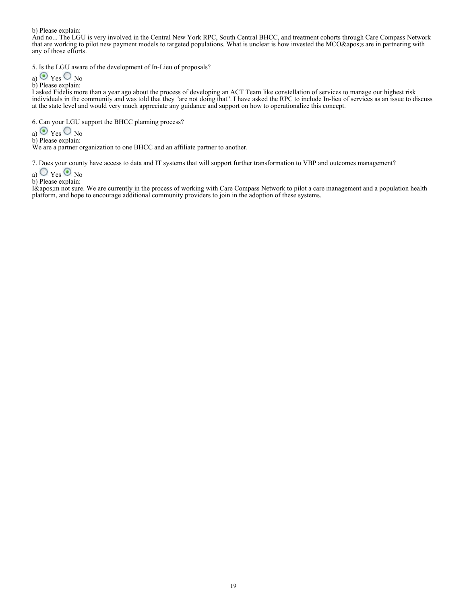b) Please explain:

And no... The LGU is very involved in the Central New York RPC, South Central BHCC, and treatment cohorts through Care Compass Network that are working to pilot new payment models to targeted populations. What is unclear is how invested the MCO' s are in partnering with any of those efforts.

5. Is the LGU aware of the development of In-Lieu of proposals?

a) 
$$
\odot
$$
 Yes  $\odot$  No

b) Please explain:

I asked Fidelis more than a year ago about the process of developing an ACT Team like constellation of services to manage our highest risk individuals in the community and was told that they "are not doing that". I have asked the RPC to include In-lieu of services as an issue to discuss at the state level and would very much appreciate any guidance and support on how to operationalize this concept.

6. Can your LGU support the BHCC planning process?

a)  $\vee$  Yes  $\vee$  No

b) Please explain:

We are a partner organization to one BHCC and an affiliate partner to another.

7. Does your county have access to data and IT systems that will support further transformation to VBP and outcomes management?

- a)  $\bigcirc$  Yes  $\bigcirc$  No
- b) Please explain:

I'm not sure. We are currently in the process of working with Care Compass Network to pilot a care management and a population health platform, and hope to encourage additional community providers to join in the adoption of these systems.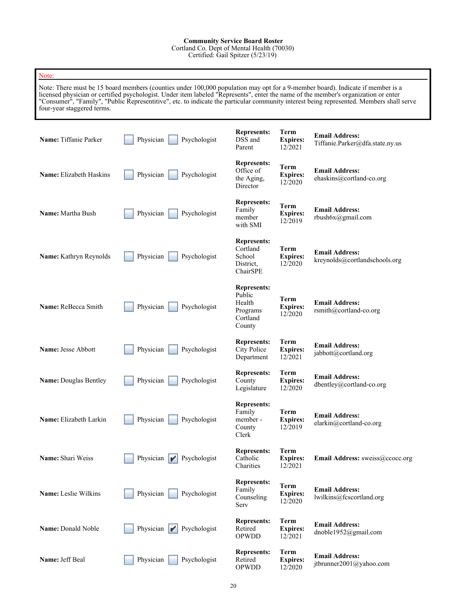### **Community Service Board Roster**

Cortland Co. Dept of Mental Health (70030)

Certified: Gail Spitzer (5/23/19)

| Note:                                                                                                                                                                                                                                                                                                                                                                                                                                           |                                                 |                                                                          |                                           |                                                          |  |  |
|-------------------------------------------------------------------------------------------------------------------------------------------------------------------------------------------------------------------------------------------------------------------------------------------------------------------------------------------------------------------------------------------------------------------------------------------------|-------------------------------------------------|--------------------------------------------------------------------------|-------------------------------------------|----------------------------------------------------------|--|--|
| Note: There must be 15 board members (counties under 100,000 population may opt for a 9-member board). Indicate if member is a<br>licensed physician or certified psychologist. Under item labeled "Represents", enter the name of the member's organization or enter<br>"Consumer", "Family", "Public Representitive", etc. to indicate the particular community interest being represented. Members shall serve<br>four-year staggered terms. |                                                 |                                                                          |                                           |                                                          |  |  |
| Name: Tiffanie Parker                                                                                                                                                                                                                                                                                                                                                                                                                           | Physician<br>Psychologist                       | <b>Represents:</b><br>DSS and<br>Parent                                  | Term<br><b>Expires:</b><br>12/2021        | <b>Email Address:</b><br>Tiffanie.Parker@dfa.state.ny.us |  |  |
| <b>Name:</b> Elizabeth Haskins                                                                                                                                                                                                                                                                                                                                                                                                                  | Physician<br>Psychologist                       | <b>Represents:</b><br>Office of<br>the Aging,<br>Director                | <b>Term</b><br><b>Expires:</b><br>12/2020 | <b>Email Address:</b><br>ehaskins@cortland-co.org        |  |  |
| Name: Martha Bush                                                                                                                                                                                                                                                                                                                                                                                                                               | Physician<br>Psychologist                       | <b>Represents:</b><br>Family<br>member<br>with SMI                       | <b>Term</b><br><b>Expires:</b><br>12/2019 | <b>Email Address:</b><br>rbush6x@gmail.com               |  |  |
| Name: Kathryn Reynolds                                                                                                                                                                                                                                                                                                                                                                                                                          | Physician<br>Psychologist                       | <b>Represents:</b><br>Cortland<br>School<br>District.<br>ChairSPE        | Term<br><b>Expires:</b><br>12/2020        | <b>Email Address:</b><br>kreynolds@cortlandschools.org   |  |  |
| Name: ReBecca Smith                                                                                                                                                                                                                                                                                                                                                                                                                             | Physician<br>Psychologist                       | <b>Represents:</b><br>Public<br>Health<br>Programs<br>Cortland<br>County | Term<br><b>Expires:</b><br>12/2020        | <b>Email Address:</b><br>rsmith@cortland-co.org          |  |  |
| Name: Jesse Abbott                                                                                                                                                                                                                                                                                                                                                                                                                              | Physician<br>Psychologist                       | <b>Represents:</b><br>City Police<br>Department                          | Term<br><b>Expires:</b><br>12/2021        | <b>Email Address:</b><br>jabbott@cortland.org            |  |  |
| <b>Name: Douglas Bentley</b>                                                                                                                                                                                                                                                                                                                                                                                                                    | Physician<br>Psychologist                       | <b>Represents:</b><br>County<br>Legislature                              | Term<br><b>Expires:</b><br>12/2020        | <b>Email Address:</b><br>dbentley@cortland-co.org        |  |  |
| Name: Elizabeth Larkin                                                                                                                                                                                                                                                                                                                                                                                                                          | Psychologist<br>Physician                       | <b>Represents:</b><br>Family<br>member-<br>County<br>Clerk               | <b>Term</b><br><b>Expires:</b><br>12/2019 | <b>Email Address:</b><br>elarkin@cortland-co.org         |  |  |
| Name: Shari Weiss                                                                                                                                                                                                                                                                                                                                                                                                                               | Physician $\blacktriangleright$<br>Psychologist | <b>Represents:</b><br>Catholic<br>Charities                              | <b>Term</b><br><b>Expires:</b><br>12/2021 | Email Address: sweiss@ccocc.org                          |  |  |
| Name: Leslie Wilkins                                                                                                                                                                                                                                                                                                                                                                                                                            | Physician<br>Psychologist                       | <b>Represents:</b><br>Family<br>Counseling<br>Serv                       | Term<br><b>Expires:</b><br>12/2020        | <b>Email Address:</b><br>lwilkins@fcscortland.org        |  |  |
| Name: Donald Noble                                                                                                                                                                                                                                                                                                                                                                                                                              | Physician<br>Psychologist<br>I                  | <b>Represents:</b><br>Retired<br><b>OPWDD</b>                            | <b>Term</b><br><b>Expires:</b><br>12/2021 | <b>Email Address:</b><br>dnoble1952@gmail.com            |  |  |
| Name: Jeff Beal                                                                                                                                                                                                                                                                                                                                                                                                                                 | Physician<br>Psychologist                       | <b>Represents:</b><br>Retired<br><b>OPWDD</b>                            | <b>Term</b><br><b>Expires:</b><br>12/2020 | <b>Email Address:</b><br>jtbrunner2001@yahoo.com         |  |  |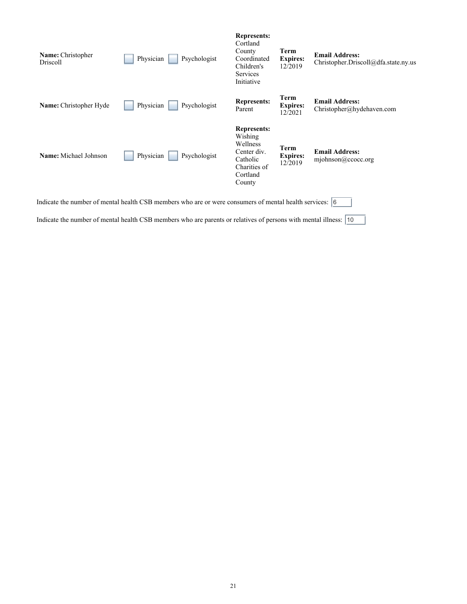| Name: Christopher<br>Driscoll                                                                             | Physician<br>Psychologist | <b>Represents:</b><br>Cortland<br>County<br>Coordinated<br>Children's<br><b>Services</b><br>Initiative     | Term<br><b>Expires:</b><br>12/2019 | <b>Email Address:</b><br>Christopher.Driscoll@dfa.state.ny.us |  |
|-----------------------------------------------------------------------------------------------------------|---------------------------|------------------------------------------------------------------------------------------------------------|------------------------------------|---------------------------------------------------------------|--|
| Name: Christopher Hyde                                                                                    | Physician<br>Psychologist | <b>Represents:</b><br>Parent                                                                               | Term<br><b>Expires:</b><br>12/2021 | <b>Email Address:</b><br>Christopher@hydehaven.com            |  |
| <b>Name:</b> Michael Johnson                                                                              | Physician<br>Psychologist | <b>Represents:</b><br>Wishing<br>Wellness<br>Center div.<br>Catholic<br>Charities of<br>Cortland<br>County | Term<br><b>Expires:</b><br>12/2019 | <b>Email Address:</b><br>mjohnson@ccocc.org                   |  |
| Indicate the number of mental health CSB members who are or were consumers of mental health services: [6] |                           |                                                                                                            |                                    |                                                               |  |

- 1

Indicate the number of mental health CSB members who are parents or relatives of persons with mental illness:  $\boxed{10}$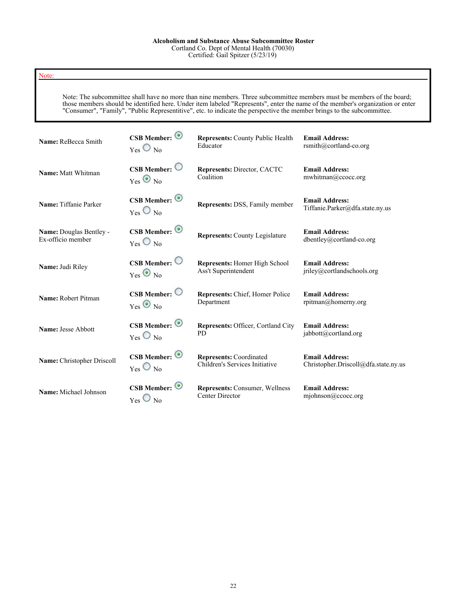### Note:

Note: The subcommittee shall have no more than nine members. Three subcommittee members must be members of the board; those members should be identified here. Under item labeled "Represents", enter the name of the member's organization or enter "Consumer", "Family", "Public Representitive", etc. to indicate the perspective the member brings to the subcommittee.

| Name: ReBecca Smith            | $CSB$ Member: $\odot$                                              | <b>Represents: County Public Health</b> | <b>Email Address:</b>                                    |
|--------------------------------|--------------------------------------------------------------------|-----------------------------------------|----------------------------------------------------------|
|                                | $_{\text{Yes}}$ O $_{\text{No}}$                                   | Educator                                | rsmith@cortland-co.org                                   |
| Name: Matt Whitman             | $CSB$ Member: $\bigcirc$                                           | Represents: Director, CACTC             | <b>Email Address:</b>                                    |
|                                | $Yes$ No                                                           | Coalition                               | mwhitman@ccocc.org                                       |
| Name: Tiffanie Parker          | $CSB$ Member: $\odot$<br>$_{\text{Yes}}$ $\bigcirc$ $_{\text{No}}$ | Represents: DSS, Family member          | <b>Email Address:</b><br>Tiffanie.Parker@dfa.state.ny.us |
| <b>Name:</b> Douglas Bentley - | $CSB$ Member: $\odot$                                              | <b>Represents: County Legislature</b>   | <b>Email Address:</b>                                    |
| Ex-officio member              | $_{\text{Yes}}$ O $_{\text{No}}$                                   |                                         | dbentley@cortland-co.org                                 |
| Name: Judi Riley               | $CSB$ Member: $\bigcirc$                                           | <b>Represents:</b> Homer High School    | <b>Email Address:</b>                                    |
|                                | $Yes \otimes No$                                                   | Ass't Superintendent                    | jriley@cortlandschools.org                               |
| Name: Robert Pitman            | $CSB$ Member: $\bigcirc$                                           | Represents: Chief, Homer Police         | <b>Email Address:</b>                                    |
|                                | $Yes \odot No$                                                     | Department                              | rpitman@homerny.org                                      |
| Name: Jesse Abbott             | $CSB$ Member: $\odot$                                              | Represents: Officer, Cortland City      | <b>Email Address:</b>                                    |
|                                | $Yes$ No                                                           | <b>PD</b>                               | jabbott@cortland.org                                     |
| Name: Christopher Driscoll     | $CSB$ Member: $\odot$                                              | <b>Represents: Coordinated</b>          | <b>Email Address:</b>                                    |
|                                | $_{\text{Yes}}$ $\bigcirc$ $_{\text{No}}$                          | Children's Services Initiative          | Christopher.Driscoll@dfa.state.ny.us                     |
| Name: Michael Johnson          | $CSB$ Member: $\odot$                                              | Represents: Consumer, Wellness          | <b>Email Address:</b>                                    |
|                                | $_{\text{Yes}}$ $\bigcirc$ $_{\text{No}}$                          | Center Director                         | $m$ johnson@ccocc.org                                    |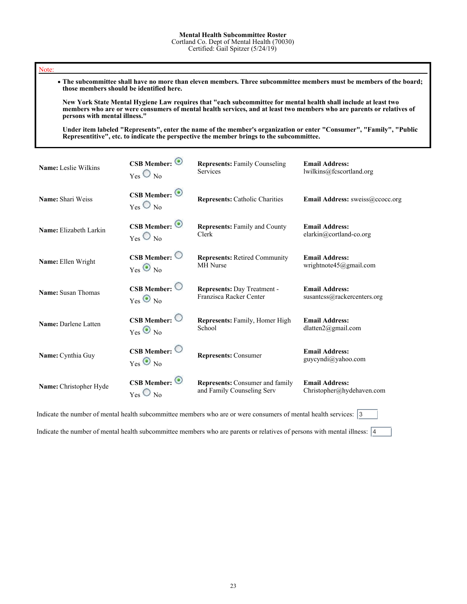#### Note:

**The subcommittee shall have no more than eleven members. Three subcommittee members must be members of the board; those members should be identified here.**

**New York State Mental Hygiene Law requires that "each subcommittee for mental health shall include at least two members who are or were consumers of mental health services, and at least two members who are parents or relatives of persons with mental illness."**

**Under item labeled "Represents", enter the name of the member's organization or enter "Consumer", "Family", "Public Representitive", etc. to indicate the perspective the member brings to the subcommittee.**

| Name: Leslie Wilkins   | CSB Member: $\odot$                        | <b>Represents: Family Counseling</b>   | <b>Email Address:</b>                       |
|------------------------|--------------------------------------------|----------------------------------------|---------------------------------------------|
|                        | $_{\text{Yes}}$ $\bigcirc$ $_{\text{No}}$  | Services                               | lwilkins@fcscortland.org                    |
| Name: Shari Weiss      | $CSB$ Member: $\odot$<br>$Yes$ No          | <b>Represents: Catholic Charities</b>  | <b>Email Address:</b> sweiss@ccocc.org      |
| Name: Elizabeth Larkin | CSB Member: $\odot$                        | <b>Represents: Family and County</b>   | <b>Email Address:</b>                       |
|                        | $Y_{\text{es}}$ $\bigcirc$ $_{\text{No}}$  | Clerk                                  | elarkin@cortland-co.org                     |
| Name: Ellen Wright     | $CSB$ Member: $\bigcirc$                   | <b>Represents: Retired Community</b>   | <b>Email Address:</b>                       |
|                        | $Yes \otimes No$                           | <b>MH</b> Nurse                        | wrightnote45@gmail.com                      |
| Name: Susan Thomas     | $CSB$ Member: $\bigcirc$                   | Represents: Day Treatment -            | <b>Email Address:</b>                       |
|                        | $Yes \otimes No$                           | Franzisca Racker Center                | susantcss $@$ rackercenters.org             |
| Name: Darlene Latten   | $CSB$ Member: $\bigcirc$                   | Represents: Family, Homer High         | <b>Email Address:</b>                       |
|                        | $Yes \otimes No$                           | School                                 | dlatten2@gmail.com                          |
| Name: Cynthia Guy      | $CSB$ Member: $\bigcirc$<br>$Yes \odot No$ | <b>Represents: Consumer</b>            | <b>Email Address:</b><br>guycyndi@yahoo.com |
| Name: Christopher Hyde | $CSB$ Member: $\odot$                      | <b>Represents:</b> Consumer and family | <b>Email Address:</b>                       |
|                        | $Yes$ $\bigcirc$ No                        | and Family Counseling Serv             | Christopher@hydehaven.com                   |

Indicate the number of mental health subcommittee members who are or were consumers of mental health services:  $\sqrt{3}$ 

Indicate the number of mental health subcommittee members who are parents or relatives of persons with mental illness:  $\boxed{4}$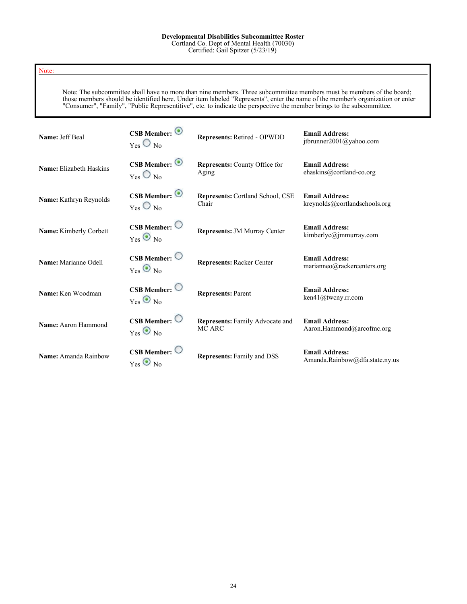### **Developmental Disabilities Subcommittee Roster**

Cortland Co. Dept of Mental Health (70030) Certified: Gail Spitzer (5/23/19)

### Note:

Note: The subcommittee shall have no more than nine members. Three subcommittee members must be members of the board; those members should be identified here. Under item labeled "Represents", enter the name of the member's organization or enter "Consumer", "Family", "Public Representitive", etc. to indicate the perspective the member brings to the subcommittee.

| Name: Jeff Beal                | CSB Member: $\odot$<br>$_{\text{Yes}}$ $\bigcirc$ $_{\text{No}}$   | Represents: Retired - OPWDD               | <b>Email Address:</b><br>jtbrunner2001@yahoo.com        |
|--------------------------------|--------------------------------------------------------------------|-------------------------------------------|---------------------------------------------------------|
| <b>Name:</b> Elizabeth Haskins | CSB Member: $\odot$<br>$_{\text{Yes}}$ $\bigcirc$ $_{\text{No}}$   | Represents: County Office for<br>Aging    | <b>Email Address:</b><br>ehaskins@cortland-co.org       |
| Name: Kathryn Reynolds         | $CSB$ Member: $\odot$<br>$_{\text{Yes}}$ $\bigcirc$ $_{\text{No}}$ | Represents: Cortland School, CSE<br>Chair | <b>Email Address:</b><br>kreynolds@cortlandschools.org  |
| Name: Kimberly Corbett         | $CSB$ Member: $\bigcirc$<br>$Yes$ No                               | <b>Represents: JM Murray Center</b>       | <b>Email Address:</b><br>kimberlyc@jmmurray.com         |
| Name: Marianne Odell           | $CSB$ Member: $\bigcirc$<br>$Yes \otimes No$                       | <b>Represents: Racker Center</b>          | <b>Email Address:</b><br>marianneo@rackercenters.org    |
| Name: Ken Woodman              | $CSB$ Member: $\bigcirc$<br>$Yes \otimes No$                       | <b>Represents: Parent</b>                 | <b>Email Address:</b><br>ken41@tweny.rr.com             |
| Name: Aaron Hammond            | $CSB$ Member: $\bigcirc$<br>$Yes$ No                               | Represents: Family Advocate and<br>MC ARC | <b>Email Address:</b><br>Aaron.Hammond@arcofmc.org      |
| Name: Amanda Rainbow           | $CSB$ Member:<br>$Yes \otimes No$                                  | <b>Represents: Family and DSS</b>         | <b>Email Address:</b><br>Amanda.Rainbow@dfa.state.ny.us |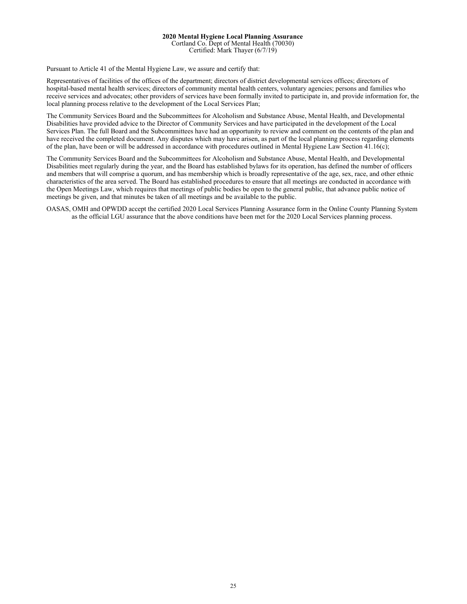### **2020 Mental Hygiene Local Planning Assurance** Cortland Co. Dept of Mental Health (70030)

Certified: Mark Thayer (6/7/19)

Pursuant to Article 41 of the Mental Hygiene Law, we assure and certify that:

Representatives of facilities of the offices of the department; directors of district developmental services offices; directors of hospital-based mental health services; directors of community mental health centers, voluntary agencies; persons and families who receive services and advocates; other providers of services have been formally invited to participate in, and provide information for, the local planning process relative to the development of the Local Services Plan;

The Community Services Board and the Subcommittees for Alcoholism and Substance Abuse, Mental Health, and Developmental Disabilities have provided advice to the Director of Community Services and have participated in the development of the Local Services Plan. The full Board and the Subcommittees have had an opportunity to review and comment on the contents of the plan and have received the completed document. Any disputes which may have arisen, as part of the local planning process regarding elements of the plan, have been or will be addressed in accordance with procedures outlined in Mental Hygiene Law Section 41.16(c);

The Community Services Board and the Subcommittees for Alcoholism and Substance Abuse, Mental Health, and Developmental Disabilities meet regularly during the year, and the Board has established bylaws for its operation, has defined the number of officers and members that will comprise a quorum, and has membership which is broadly representative of the age, sex, race, and other ethnic characteristics of the area served. The Board has established procedures to ensure that all meetings are conducted in accordance with the Open Meetings Law, which requires that meetings of public bodies be open to the general public, that advance public notice of meetings be given, and that minutes be taken of all meetings and be available to the public.

OASAS, OMH and OPWDD accept the certified 2020 Local Services Planning Assurance form in the Online County Planning System as the official LGU assurance that the above conditions have been met for the 2020 Local Services planning process.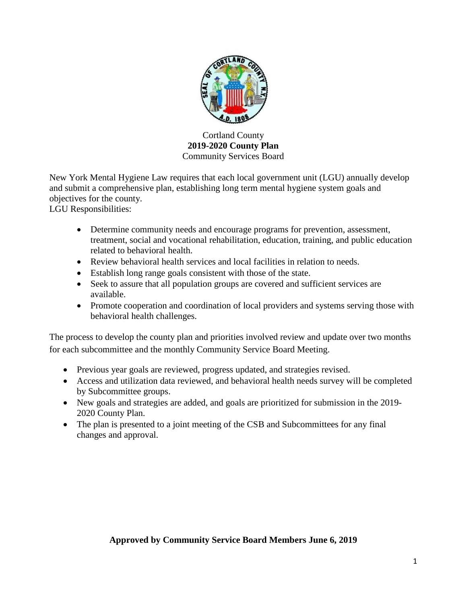

Cortland County **2019-2020 County Plan** Community Services Board

New York Mental Hygiene Law requires that each local government unit (LGU) annually develop and submit a comprehensive plan, establishing long term mental hygiene system goals and objectives for the county.

LGU Responsibilities:

- Determine community needs and encourage programs for prevention, assessment, treatment, social and vocational rehabilitation, education, training, and public education related to behavioral health.
- Review behavioral health services and local facilities in relation to needs.
- Establish long range goals consistent with those of the state.
- Seek to assure that all population groups are covered and sufficient services are available.
- Promote cooperation and coordination of local providers and systems serving those with behavioral health challenges.

The process to develop the county plan and priorities involved review and update over two months for each subcommittee and the monthly Community Service Board Meeting.

- Previous year goals are reviewed, progress updated, and strategies revised.
- Access and utilization data reviewed, and behavioral health needs survey will be completed by Subcommittee groups.
- New goals and strategies are added, and goals are prioritized for submission in the 2019- 2020 County Plan.
- The plan is presented to a joint meeting of the CSB and Subcommittees for any final changes and approval.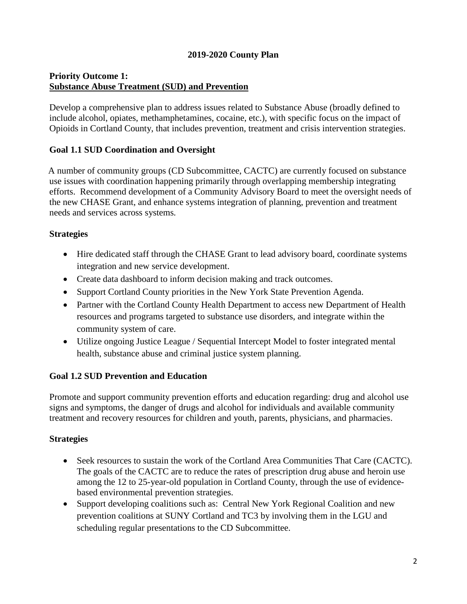# **2019-2020 County Plan**

# **Priority Outcome 1: Substance Abuse Treatment (SUD) and Prevention**

Develop a comprehensive plan to address issues related to Substance Abuse (broadly defined to include alcohol, opiates, methamphetamines, cocaine, etc.), with specific focus on the impact of Opioids in Cortland County, that includes prevention, treatment and crisis intervention strategies.

# **Goal 1.1 SUD Coordination and Oversight**

 A number of community groups (CD Subcommittee, CACTC) are currently focused on substance use issues with coordination happening primarily through overlapping membership integrating efforts. Recommend development of a Community Advisory Board to meet the oversight needs of the new CHASE Grant, and enhance systems integration of planning, prevention and treatment needs and services across systems*.*

## **Strategies**

- Hire dedicated staff through the CHASE Grant to lead advisory board, coordinate systems integration and new service development.
- Create data dashboard to inform decision making and track outcomes.
- Support Cortland County priorities in the New York State Prevention Agenda.
- Partner with the Cortland County Health Department to access new Department of Health resources and programs targeted to substance use disorders, and integrate within the community system of care.
- Utilize ongoing Justice League / Sequential Intercept Model to foster integrated mental health, substance abuse and criminal justice system planning.

# **Goal 1.2 SUD Prevention and Education**

Promote and support community prevention efforts and education regarding: drug and alcohol use signs and symptoms, the danger of drugs and alcohol for individuals and available community treatment and recovery resources for children and youth, parents, physicians, and pharmacies.

- Seek resources to sustain the work of the Cortland Area Communities That Care (CACTC). The goals of the CACTC are to reduce the rates of prescription drug abuse and heroin use among the 12 to 25-year-old population in Cortland County, through the use of evidencebased environmental prevention strategies.
- Support developing coalitions such as: Central New York Regional Coalition and new prevention coalitions at SUNY Cortland and TC3 by involving them in the LGU and scheduling regular presentations to the CD Subcommittee.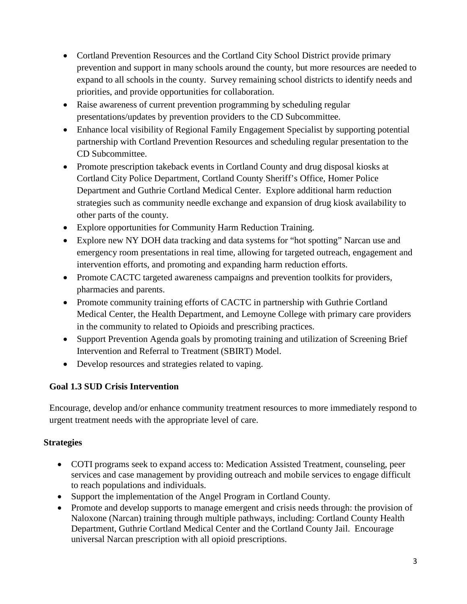- Cortland Prevention Resources and the Cortland City School District provide primary prevention and support in many schools around the county, but more resources are needed to expand to all schools in the county. Survey remaining school districts to identify needs and priorities, and provide opportunities for collaboration.
- Raise awareness of current prevention programming by scheduling regular presentations/updates by prevention providers to the CD Subcommittee.
- Enhance local visibility of Regional Family Engagement Specialist by supporting potential partnership with Cortland Prevention Resources and scheduling regular presentation to the CD Subcommittee.
- Promote prescription takeback events in Cortland County and drug disposal kiosks at Cortland City Police Department, Cortland County Sheriff's Office, Homer Police Department and Guthrie Cortland Medical Center. Explore additional harm reduction strategies such as community needle exchange and expansion of drug kiosk availability to other parts of the county.
- Explore opportunities for Community Harm Reduction Training.
- Explore new NY DOH data tracking and data systems for "hot spotting" Narcan use and emergency room presentations in real time, allowing for targeted outreach, engagement and intervention efforts, and promoting and expanding harm reduction efforts.
- Promote CACTC targeted awareness campaigns and prevention toolkits for providers, pharmacies and parents.
- Promote community training efforts of CACTC in partnership with Guthrie Cortland Medical Center, the Health Department, and Lemoyne College with primary care providers in the community to related to Opioids and prescribing practices.
- Support Prevention Agenda goals by promoting training and utilization of Screening Brief Intervention and Referral to Treatment (SBIRT) Model.
- Develop resources and strategies related to vaping.

# **Goal 1.3 SUD Crisis Intervention**

Encourage, develop and/or enhance community treatment resources to more immediately respond to urgent treatment needs with the appropriate level of care.

- COTI programs seek to expand access to: Medication Assisted Treatment, counseling, peer services and case management by providing outreach and mobile services to engage difficult to reach populations and individuals.
- Support the implementation of the Angel Program in Cortland County.
- Promote and develop supports to manage emergent and crisis needs through: the provision of Naloxone (Narcan) training through multiple pathways, including: Cortland County Health Department, Guthrie Cortland Medical Center and the Cortland County Jail. Encourage universal Narcan prescription with all opioid prescriptions.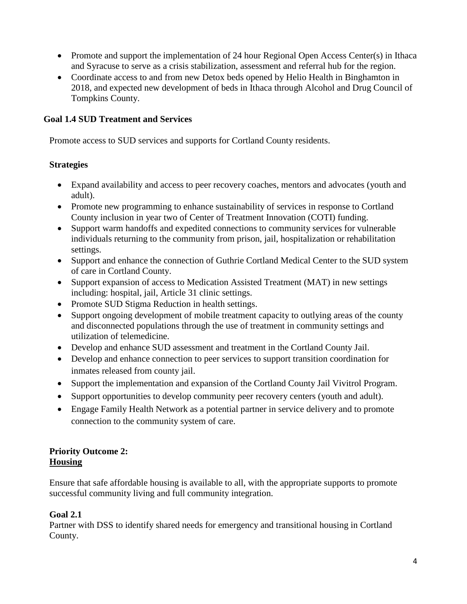- Promote and support the implementation of 24 hour Regional Open Access Center(s) in Ithaca and Syracuse to serve as a crisis stabilization, assessment and referral hub for the region.
- Coordinate access to and from new Detox beds opened by Helio Health in Binghamton in 2018, and expected new development of beds in Ithaca through Alcohol and Drug Council of Tompkins County.

# **Goal 1.4 SUD Treatment and Services**

Promote access to SUD services and supports for Cortland County residents.

# **Strategies**

- Expand availability and access to peer recovery coaches, mentors and advocates (youth and adult).
- Promote new programming to enhance sustainability of services in response to Cortland County inclusion in year two of Center of Treatment Innovation (COTI) funding.
- Support warm handoffs and expedited connections to community services for vulnerable individuals returning to the community from prison, jail, hospitalization or rehabilitation settings.
- Support and enhance the connection of Guthrie Cortland Medical Center to the SUD system of care in Cortland County.
- Support expansion of access to Medication Assisted Treatment (MAT) in new settings including: hospital, jail, Article 31 clinic settings.
- Promote SUD Stigma Reduction in health settings.
- Support ongoing development of mobile treatment capacity to outlying areas of the county and disconnected populations through the use of treatment in community settings and utilization of telemedicine.
- Develop and enhance SUD assessment and treatment in the Cortland County Jail.
- Develop and enhance connection to peer services to support transition coordination for inmates released from county jail.
- Support the implementation and expansion of the Cortland County Jail Vivitrol Program.
- Support opportunities to develop community peer recovery centers (youth and adult).
- Engage Family Health Network as a potential partner in service delivery and to promote connection to the community system of care.

# **Priority Outcome 2: Housing**

Ensure that safe affordable housing is available to all, with the appropriate supports to promote successful community living and full community integration.

# **Goal 2.1**

Partner with DSS to identify shared needs for emergency and transitional housing in Cortland County.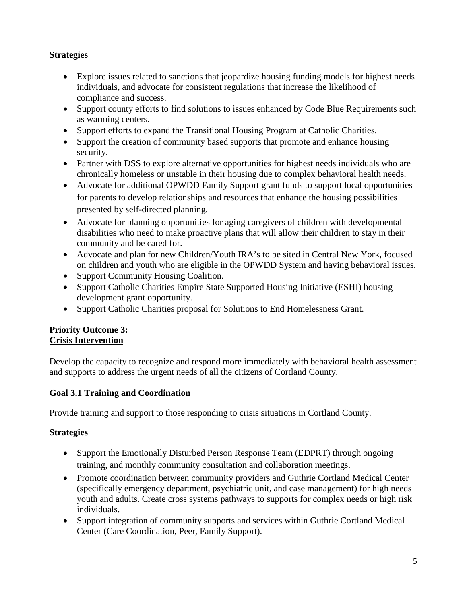# **Strategies**

- Explore issues related to sanctions that jeopardize housing funding models for highest needs individuals, and advocate for consistent regulations that increase the likelihood of compliance and success.
- Support county efforts to find solutions to issues enhanced by Code Blue Requirements such as warming centers.
- Support efforts to expand the Transitional Housing Program at Catholic Charities.
- Support the creation of community based supports that promote and enhance housing security.
- Partner with DSS to explore alternative opportunities for highest needs individuals who are chronically homeless or unstable in their housing due to complex behavioral health needs.
- Advocate for additional OPWDD Family Support grant funds to support local opportunities for parents to develop relationships and resources that enhance the housing possibilities presented by self-directed planning.
- Advocate for planning opportunities for aging caregivers of children with developmental disabilities who need to make proactive plans that will allow their children to stay in their community and be cared for.
- Advocate and plan for new Children/Youth IRA's to be sited in Central New York, focused on children and youth who are eligible in the OPWDD System and having behavioral issues.
- Support Community Housing Coalition.
- Support Catholic Charities Empire State Supported Housing Initiative (ESHI) housing development grant opportunity.
- Support Catholic Charities proposal for Solutions to End Homelessness Grant.

## **Priority Outcome 3: Crisis Intervention**

Develop the capacity to recognize and respond more immediately with behavioral health assessment and supports to address the urgent needs of all the citizens of Cortland County.

# **Goal 3.1 Training and Coordination**

Provide training and support to those responding to crisis situations in Cortland County.

- Support the Emotionally Disturbed Person Response Team (EDPRT) through ongoing training, and monthly community consultation and collaboration meetings.
- Promote coordination between community providers and Guthrie Cortland Medical Center (specifically emergency department, psychiatric unit, and case management) for high needs youth and adults. Create cross systems pathways to supports for complex needs or high risk individuals.
- Support integration of community supports and services within Guthrie Cortland Medical Center (Care Coordination, Peer, Family Support).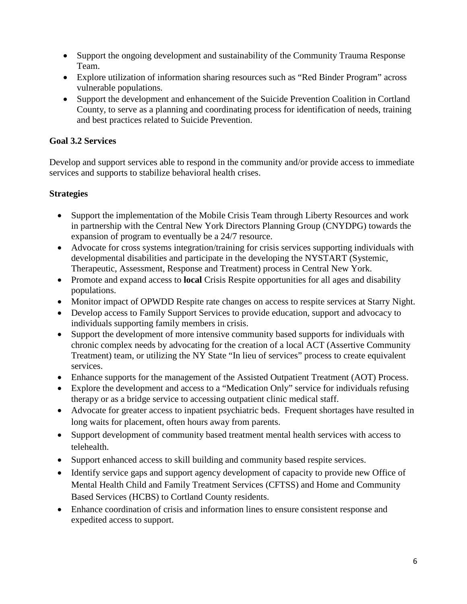- Support the ongoing development and sustainability of the Community Trauma Response Team.
- Explore utilization of information sharing resources such as "Red Binder Program" across vulnerable populations.
- Support the development and enhancement of the Suicide Prevention Coalition in Cortland County, to serve as a planning and coordinating process for identification of needs, training and best practices related to Suicide Prevention.

# **Goal 3.2 Services**

Develop and support services able to respond in the community and/or provide access to immediate services and supports to stabilize behavioral health crises.

- Support the implementation of the Mobile Crisis Team through Liberty Resources and work in partnership with the Central New York Directors Planning Group (CNYDPG) towards the expansion of program to eventually be a 24/7 resource.
- Advocate for cross systems integration/training for crisis services supporting individuals with developmental disabilities and participate in the developing the NYSTART (Systemic, Therapeutic, Assessment, Response and Treatment) process in Central New York.
- Promote and expand access to **local** Crisis Respite opportunities for all ages and disability populations.
- Monitor impact of OPWDD Respite rate changes on access to respite services at Starry Night.
- Develop access to Family Support Services to provide education, support and advocacy to individuals supporting family members in crisis.
- Support the development of more intensive community based supports for individuals with chronic complex needs by advocating for the creation of a local ACT (Assertive Community Treatment) team, or utilizing the NY State "In lieu of services" process to create equivalent services.
- Enhance supports for the management of the Assisted Outpatient Treatment (AOT) Process.
- Explore the development and access to a "Medication Only" service for individuals refusing therapy or as a bridge service to accessing outpatient clinic medical staff.
- Advocate for greater access to inpatient psychiatric beds. Frequent shortages have resulted in long waits for placement, often hours away from parents.
- Support development of community based treatment mental health services with access to telehealth.
- Support enhanced access to skill building and community based respite services.
- Identify service gaps and support agency development of capacity to provide new Office of Mental Health Child and Family Treatment Services (CFTSS) and Home and Community Based Services (HCBS) to Cortland County residents.
- Enhance coordination of crisis and information lines to ensure consistent response and expedited access to support.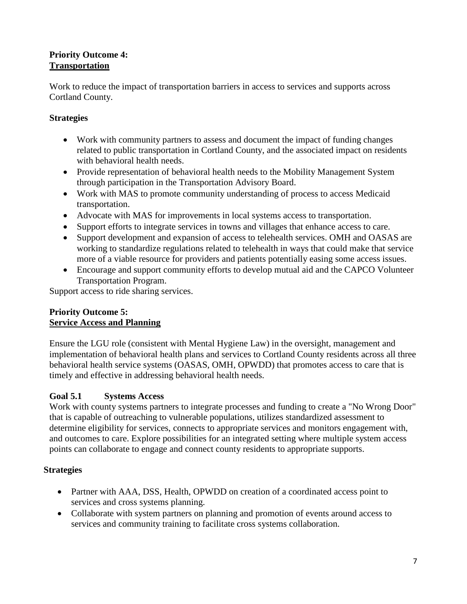# **Priority Outcome 4: Transportation**

Work to reduce the impact of transportation barriers in access to services and supports across Cortland County.

# **Strategies**

- Work with community partners to assess and document the impact of funding changes related to public transportation in Cortland County, and the associated impact on residents with behavioral health needs.
- Provide representation of behavioral health needs to the Mobility Management System through participation in the Transportation Advisory Board.
- Work with MAS to promote community understanding of process to access Medicaid transportation.
- Advocate with MAS for improvements in local systems access to transportation.
- Support efforts to integrate services in towns and villages that enhance access to care.
- Support development and expansion of access to telehealth services. OMH and OASAS are working to standardize regulations related to telehealth in ways that could make that service more of a viable resource for providers and patients potentially easing some access issues.
- Encourage and support community efforts to develop mutual aid and the CAPCO Volunteer Transportation Program.

Support access to ride sharing services.

# **Priority Outcome 5: Service Access and Planning**

Ensure the LGU role (consistent with Mental Hygiene Law) in the oversight, management and implementation of behavioral health plans and services to Cortland County residents across all three behavioral health service systems (OASAS, OMH, OPWDD) that promotes access to care that is timely and effective in addressing behavioral health needs.

# **Goal 5.1 Systems Access**

Work with county systems partners to integrate processes and funding to create a "No Wrong Door" that is capable of outreaching to vulnerable populations, utilizes standardized assessment to determine eligibility for services, connects to appropriate services and monitors engagement with, and outcomes to care. Explore possibilities for an integrated setting where multiple system access points can collaborate to engage and connect county residents to appropriate supports.

- Partner with AAA, DSS, Health, OPWDD on creation of a coordinated access point to services and cross systems planning.
- Collaborate with system partners on planning and promotion of events around access to services and community training to facilitate cross systems collaboration.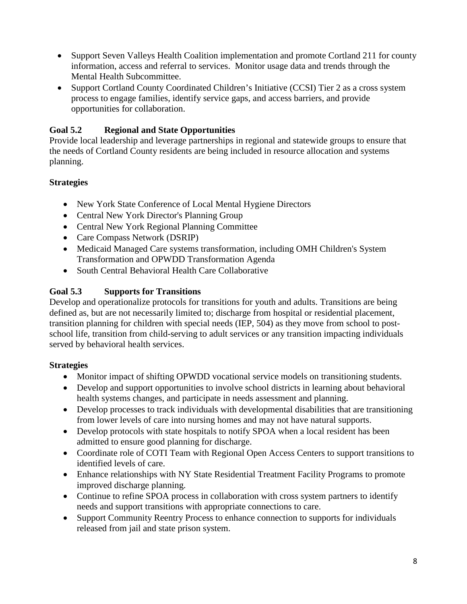- Support Seven Valleys Health Coalition implementation and promote Cortland 211 for county information, access and referral to services. Monitor usage data and trends through the Mental Health Subcommittee.
- Support Cortland County Coordinated Children's Initiative (CCSI) Tier 2 as a cross system process to engage families, identify service gaps, and access barriers, and provide opportunities for collaboration.

# **Goal 5.2 Regional and State Opportunities**

Provide local leadership and leverage partnerships in regional and statewide groups to ensure that the needs of Cortland County residents are being included in resource allocation and systems planning.

# **Strategies**

- New York State Conference of Local Mental Hygiene Directors
- Central New York Director's Planning Group
- Central New York Regional Planning Committee
- Care Compass Network (DSRIP)
- Medicaid Managed Care systems transformation, including OMH Children's System Transformation and OPWDD Transformation Agenda
- South Central Behavioral Health Care Collaborative

# **Goal 5.3 Supports for Transitions**

Develop and operationalize protocols for transitions for youth and adults. Transitions are being defined as, but are not necessarily limited to; discharge from hospital or residential placement, transition planning for children with special needs (IEP, 504) as they move from school to postschool life, transition from child-serving to adult services or any transition impacting individuals served by behavioral health services.

- Monitor impact of shifting OPWDD vocational service models on transitioning students.
- Develop and support opportunities to involve school districts in learning about behavioral health systems changes, and participate in needs assessment and planning.
- Develop processes to track individuals with developmental disabilities that are transitioning from lower levels of care into nursing homes and may not have natural supports.
- Develop protocols with state hospitals to notify SPOA when a local resident has been admitted to ensure good planning for discharge.
- Coordinate role of COTI Team with Regional Open Access Centers to support transitions to identified levels of care.
- Enhance relationships with NY State Residential Treatment Facility Programs to promote improved discharge planning.
- Continue to refine SPOA process in collaboration with cross system partners to identify needs and support transitions with appropriate connections to care.
- Support Community Reentry Process to enhance connection to supports for individuals released from jail and state prison system.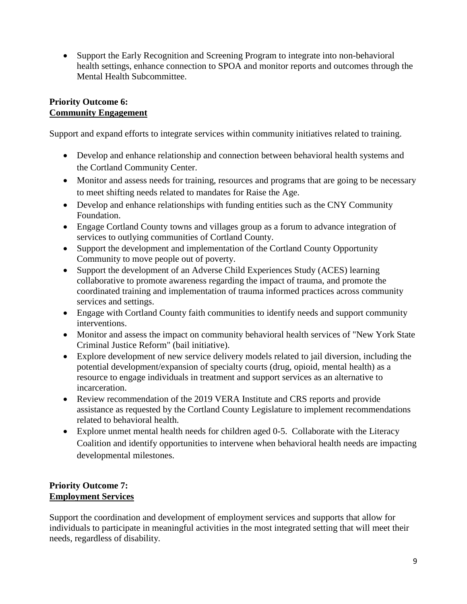• Support the Early Recognition and Screening Program to integrate into non-behavioral health settings, enhance connection to SPOA and monitor reports and outcomes through the Mental Health Subcommittee.

### **Priority Outcome 6: Community Engagement**

Support and expand efforts to integrate services within community initiatives related to training.

- Develop and enhance relationship and connection between behavioral health systems and the Cortland Community Center.
- Monitor and assess needs for training, resources and programs that are going to be necessary to meet shifting needs related to mandates for Raise the Age.
- Develop and enhance relationships with funding entities such as the CNY Community Foundation.
- Engage Cortland County towns and villages group as a forum to advance integration of services to outlying communities of Cortland County.
- Support the development and implementation of the Cortland County Opportunity Community to move people out of poverty.
- Support the development of an Adverse Child Experiences Study (ACES) learning collaborative to promote awareness regarding the impact of trauma, and promote the coordinated training and implementation of trauma informed practices across community services and settings.
- Engage with Cortland County faith communities to identify needs and support community interventions.
- Monitor and assess the impact on community behavioral health services of "New York State Criminal Justice Reform" (bail initiative).
- Explore development of new service delivery models related to jail diversion, including the potential development/expansion of specialty courts (drug, opioid, mental health) as a resource to engage individuals in treatment and support services as an alternative to incarceration.
- Review recommendation of the 2019 VERA Institute and CRS reports and provide assistance as requested by the Cortland County Legislature to implement recommendations related to behavioral health.
- Explore unmet mental health needs for children aged 0-5. Collaborate with the Literacy Coalition and identify opportunities to intervene when behavioral health needs are impacting developmental milestones.

# **Priority Outcome 7: Employment Services**

Support the coordination and development of employment services and supports that allow for individuals to participate in meaningful activities in the most integrated setting that will meet their needs, regardless of disability.